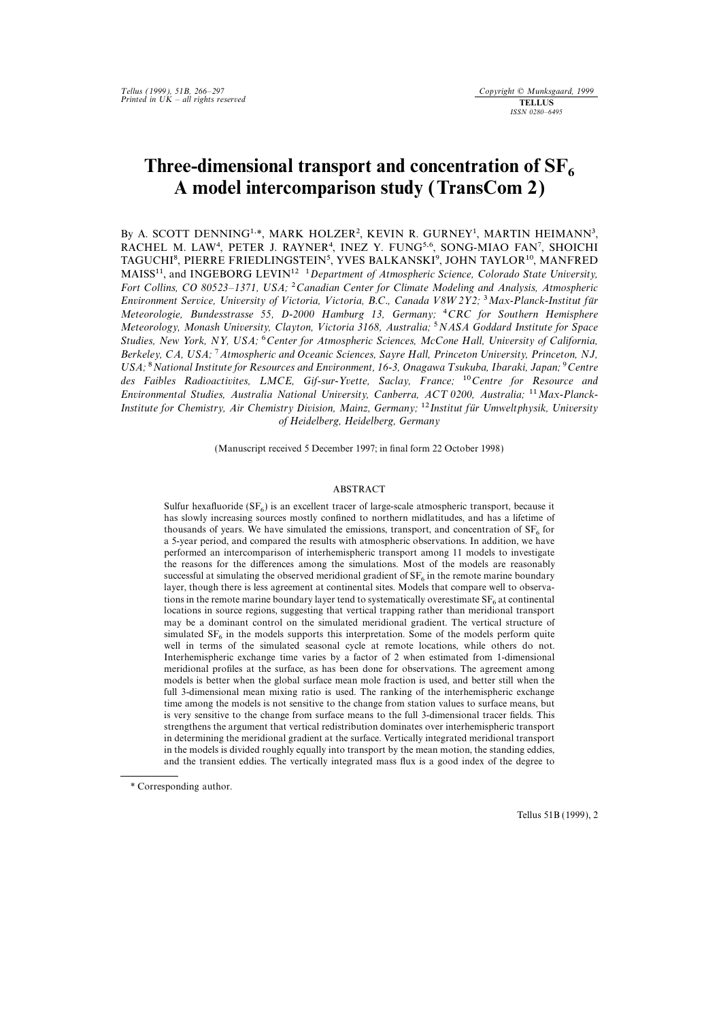# Three-dimensional transport and concentration of  $SF_6$ A model intercomparison study (TransCom 2)

By A. SCOTT DENNING<sup>1,\*</sup>, MARK HOLZER<sup>2</sup>, KEVIN R. GURNEY<sup>1</sup>, MARTIN HEIMANN<sup>3</sup>, RACHEL M. LAW<sup>4</sup>, PETER J. RAYNER<sup>4</sup>, INEZ Y. FUNG<sup>5,6</sup>, SONG-MIAO FAN<sup>7</sup>, SHOICHI TAGUCHI<sup>8</sup>, PIERRE FRIEDLINGSTEIN<sup>5</sup>, YVES BALKANSKI<sup>9</sup>, JOHN TAYLOR<sup>10</sup>, MANFRED MAISS<sup>11</sup>, and INGEBORG LEVIN<sup>12</sup> <sup>1</sup> Department of Atmospheric Science, Colorado State University, Fort Collins, CO 80523–1371, USA; 2Canadian Center for Climate Modeling and Analysis, Atmospheric Environment Service, University of Victoria, Victoria, B.C., Canada V8W 2Y2; <sup>3</sup> Max-Planck-Institut für Meteorologie, Bundesstrasse 55, D-2000 Hamburg 13, Germany; 4CRC for Southern Hemisphere Meteorology, Monash University, Clayton, Victoria 3168, Australia; <sup>5</sup>NASA Goddard Institute for Space Studies, New York, NY, USA; <sup>6</sup>Center for Atmospheric Sciences, McCone Hall, University of California, Berkeley, CA, USA; <sup>7</sup> Atmospheric and Oceanic Sciences, Sayre Hall, Princeton University, Princeton, NJ, USA; <sup>8</sup> National Institute for Resources and Environment, 16-3, Onagawa Tsukuba, Ibaraki, Japan; <sup>9</sup> Centre des Faibles Radioactivites, LMCE, Gif-sur-Yvette, Saclay, France; <sup>10</sup>Centre for Resource and Environmental Studies, Australia National University, Canberra, ACT 0200, Australia; 11Max-Planck-Institute for Chemistry, Air Chemistry Division, Mainz, Germany;  $12$ Institut für Umweltphysik, University of Heidelberg, Heidelberg, Germany

(Manuscript received 5 December 1997; in final form 22 October 1998)

### ABSTRACT

Sulfur hexafluoride  $(SF_6)$  is an excellent tracer of large-scale atmospheric transport, because it has slowly increasing sources mostly confined to northern midlatitudes, and has a lifetime of thousands of years. We have simulated the emissions, transport, and concentration of  $SF<sub>6</sub>$  for a 5-year period, and compared the results with atmospheric observations. In addition, we have performed an intercomparison of interhemispheric transport among 11 models to investigate the reasons for the differences among the simulations. Most of the models are reasonably successful at simulating the observed meridional gradient of  $SF<sub>6</sub>$  in the remote marine boundary layer, though there is less agreement at continental sites. Models that compare well to observations in the remote marine boundary layer tend to systematically overestimate  $SF<sub>6</sub>$  at continental locations in source regions, suggesting that vertical trapping rather than meridional transport may be a dominant control on the simulated meridional gradient. The vertical structure of simulated  $SF<sub>6</sub>$  in the models supports this interpretation. Some of the models perform quite well in terms of the simulated seasonal cycle at remote locations, while others do not. Interhemispheric exchange time varies by a factor of 2 when estimated from 1-dimensional meridional profiles at the surface, as has been done for observations. The agreement among models is better when the global surface mean mole fraction is used, and better still when the full 3-dimensional mean mixing ratio is used. The ranking of the interhemispheric exchange time among the models is not sensitive to the change from station values to surface means, but is very sensitive to the change from surface means to the full 3-dimensional tracer fields. This strengthens the argument that vertical redistribution dominates over interhemispheric transport in determining the meridional gradient at the surface. Vertically integrated meridional transport in the models is divided roughly equally into transport by the mean motion, the standing eddies, and the transient eddies. The vertically integrated mass flux is a good index of the degree to

<sup>\*</sup> Corresponding author.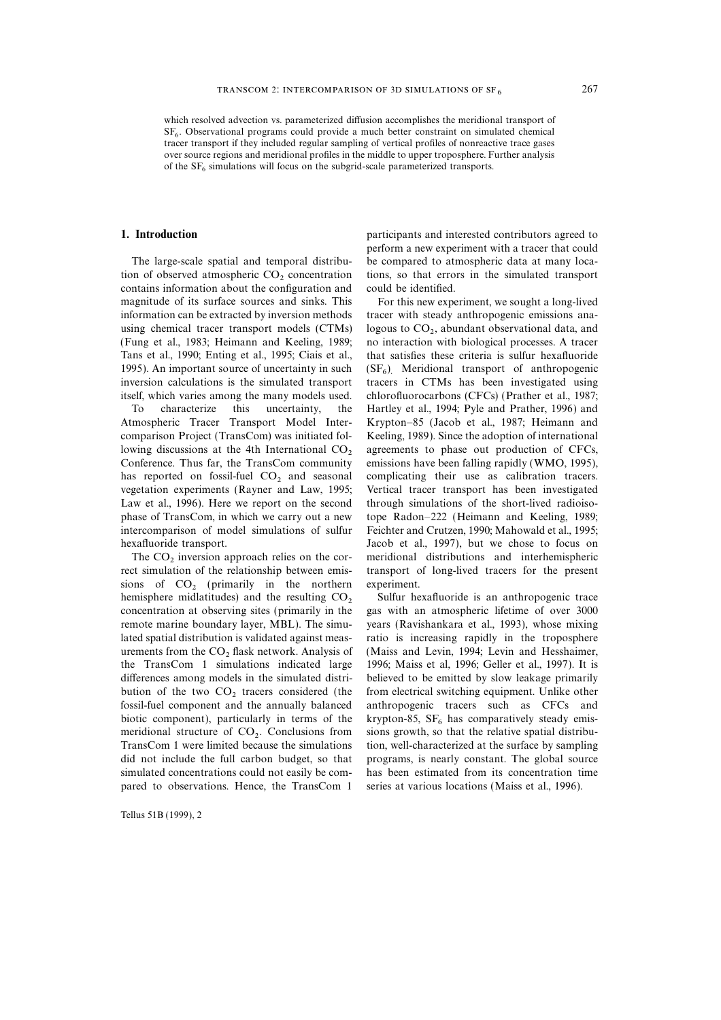which resolved advection vs. parameterized diffusion accomplishes the meridional transport of  $SF<sub>6</sub>$ . Observational programs could provide a much better constraint on simulated chemical trace association trace association of the state of proposation trace association trace association of the state of proposati tracer transport if they included regular sampling of vertical profiles of nonreactive trace gases over source regions and meridional profiles in the middle to upper troposphere. Further analysis of the  $SF<sub>6</sub>$  simulations will focus on the subgrid-scale parameterized transports.

tion of observed atmospheric  $CO_2$  concentration tions, so that errors in the simulated transport contains information about the configuration and could be identified. contains information about the configuration and magnitude of its surface sources and sinks. This For this new experiment, we sought a long-lived information can be extracted by inversion methods tracer with steady anthropogenic emissions anausing chemical tracer transport models (CTMs) (Fung et al., 1983; Heimann and Keeling, 1989; Tans et al., 1990; Enting et al., 1995; Ciais et al., that satisfies these criteria is sulfur hexafluoride 1995). An important source of uncertainty in such inversion calculations is the simulated transport itself, which varies among the many models used. chlorofluorocarbons (CFCs) (Prather et al., 1987;

Atmospheric Tracer Transport Model Inter- Krypton–85 (Jacob et al., 1987; Heimann and comparison Project (TransCom) was initiated fol- Keeling, 1989). Since the adoption of international lowing discussions at the 4th International  $CO<sub>2</sub>$  agreements to phase out production of CFCs, Conference. Thus far, the TransCom community emissions have been falling rapidly (WMO, 1995), has reported on fossil-fuel  $CO_2$  and seasonal complicating their use as calibration tracers.<br>vegetation experiments (Rayner and Law, 1995; Vertical tracer transport has been investigated Law et al., 1996). Here we report on the second through simulations of the short-lived radioisophase of TransCom, in which we carry out a new tope Radon–222 (Heimann and Keeling, 1989; intercomparison of model simulations of sulfur Feichter and Crutzen, 1990; Mahowald et al., 1995; hexafluoride transport. Jacob et al., 1997), but we chose to focus on

sions of  $CO_2$  (primarily in the northern experiment.<br>hemisphere midlatitudes) and the resulting  $CO_2$  Sulfur hexafluoride is an anthropogenic trace concentration at observing sites (primarily in the gas with an atmospheric lifetime of over 3000 remote marine boundary layer, MBL). The simu- years (Ravishankara et al., 1993), whose mixing lated spatial distribution is validated against meas- ratio is increasing rapidly in the troposphere urements from the  $CO_2$  flask network. Analysis of (Maiss and Levin, 1994; Levin and Hesshaimer, the TransCom 1 simulations indicated large 1996; Maiss et al., 1996; Geller et al., 1997). It is differences among models in the simulated distri-<br>believed to be emitted by slow leakage primarily bution of the two  $CO_2$  tracers considered (the from electrical switching equipment. Unlike other fossil-fuel component and the annually balanced anthropogenic tracers such as CFCs and biotic component), particularly in terms of the krypton-85,  $SF_6$  has comparatively steady emis-<br>meridional structure of  $CO_2$ . Conclusions from sions growth, so that the relative spatial distribumeridional structure of  $CO_2$ . Conclusions from sions growth, so that the relative spatial distribu-<br>Transform the relative spatial discovered to simulations of the result described at the region become line TransCom 1 were limited because the simulations tion, well-characterized at the surface by sampling did not include the full carbon budget, so that programs, is nearly constant. The global source simulated concentrations could not easily be com- has been estimated from its concentration time

Tellus 51B (1999), 2

1. Introduction participants and interested contributors agreed to perform a new experiment with a tracer that could The large-scale spatial and temporal distribu- be compared to atmospheric data at many loca-

logous to  $CO<sub>2</sub>$ , abundant observational data, and no interaction with biological processes. A tracer ) . Meridional transport of anthropogenic tracers in CTMs has been investigated using To characterize this uncertainty, the Hartley et al., 1994; Pyle and Prather, 1996) and emissions have been falling rapidly (WMO, 1995), Vertical tracer transport has been investigated The  $CO<sub>2</sub>$  inversion approach relies on the cor- meridional distributions and interhemispheric rect simulation of the relationship between emis- transport of long-lived tracers for the present transport of long-lived tracers for the present

1996; Maiss et al, 1996; Geller et al., 1997). It is anthropogenic tracers such as CFCs and pared to observations. Hence, the TransCom 1 series at various locations (Maiss et al., 1996).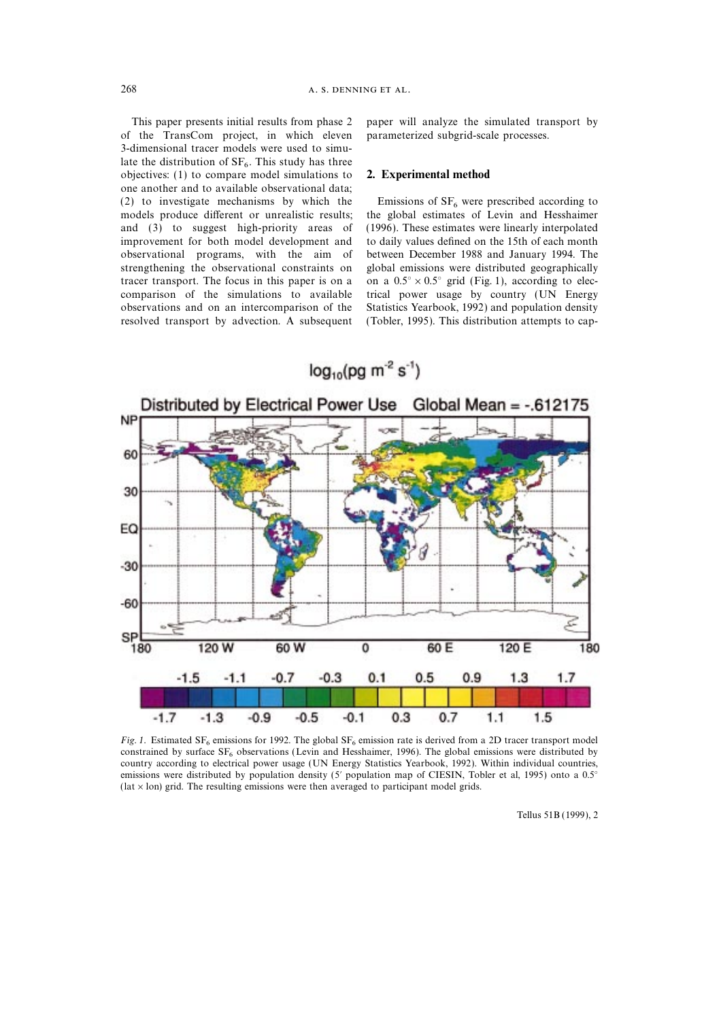of the TransCom project, in which eleven parameterized subgrid-scale processes. 3-dimensional tracer models were used to simulate the distribution of  $SF<sub>6</sub>$ . This study has three<br>chiestimes (1) to compare madel simulations to objectives: (1) to compare model simulations to 2. Experimental method one another and to available observational data; (2) to investigate mechanisms by which the Emissions of  $SF<sub>6</sub>$  were prescribed according to models produce different or unrealistic results; the global estimates of Levin and Hesshaimer models produce different or unrealistic results; and (3) to suggest high-priority areas of (1996). These estimates were linearly interpolated improvement for both model development and to daily values defined on the 15th of each month observational programs, with the aim of between December 1988 and January 1994. The strengthening the observational constraints on global emissions were distributed geographically tracer transport. The focus in this paper is on a  $0.5^{\circ} \times 0.5^{\circ}$  grid (Fig. 1), according to eleccomparison of the simulations to available trical power usage by country (UN Energy observations and on an intercomparison of the Statistics Yearbook, 1992) and population density resolved transport by advection. A subsequent (Tobler, 1995). This distribution attempts to cap-

This paper presents initial results from phase 2 paper will analyze the simulated transport by





Fig. 1. Estimated  $SF_6$  emissions for 1992. The global  $SF_6$  emission rate is derived from a 2D tracer transport model constrained by surface  $SF_6$  observations (Levin and Hesshaimer, 1996). The global emissions were distributed by country according to electrical power usage (UN Energy Statistics Yearbook, 1992). Within individual countries, emissions were distributed by population density (5<sup>'</sup> population map of CIESIN, Tobler et al, 1995) onto a 0.5°  $(lat \times lon)$  grid. The resulting emissions were then averaged to participant model grids.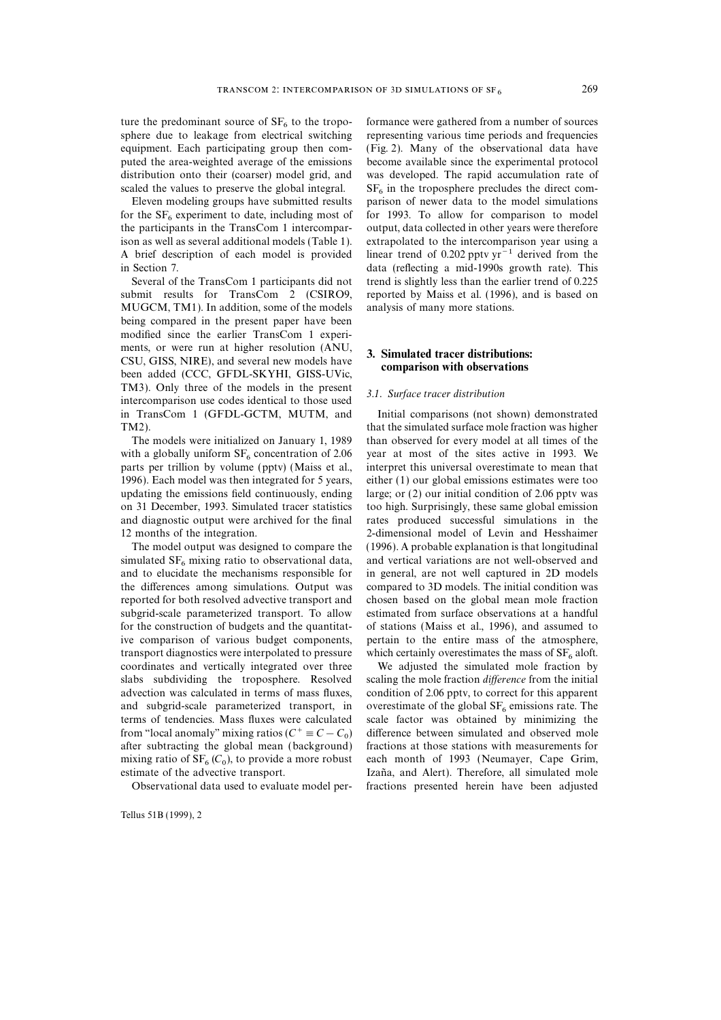ture the predominant source of  $SF<sub>6</sub>$  to the tropo-<br>sphere due to leakage from electrical switching representing various time periods and frequencies equipment. Each participating group then com- (Fig. 2). Many of the observational data have puted the area-weighted average of the emissions become available since the experimental protocol distribution onto their (coarser) model grid, and was developed. The rapid accumulation rate of

for the  $SF<sub>6</sub>$  experiment to date, including most of for 1993. To allow for comparison to model the participants in the TransCom 1 intercompar-<br>output, data collected in other years were therefore ison as well as several additional models (Table 1). extrapolated to the intercomparison year using a A brief description of each model is provided linear trend of 0.202 pptv yr−1 derived from the in Section 7. data (reflecting a mid-1990s growth rate). This

submit results for TransCom 2 (CSIRO9, reported by Maiss et al. (1996), and is based on MUGCM, TM1). In addition, some of the models analysis of many more stations. being compared in the present paper have been modified since the earlier TransCom 1 experiments, or were run at higher resolution (ANU,<br>CSU, GISS, NIRE), and several new models have<br>been added (CCC, GFDL-SKYHI, GISS-UVic,<br>**comparison with observations** TM3). Only three of the models in the present 3.1. Surface tracer distribution intercomparison use codes identical to those used in TransCom 1 (GFDL-GCTM, MUTM, and Initial comparisons (not shown) demonstrated TM2). that the simulated surface mole fraction was higher

with a globally uniform  $SF_6$  concentration of 2.06 year at most of the sites active in 1993. We parts per trillion by volume (pptv) (Maiss et al., interpret this universal overestimate to mean that parts per trillion by volume (pptv) (Maiss et al., 1996). Each model was then integrated for 5 years, either (1) our global emissions estimates were too updating the emissions field continuously, ending large; or (2) our initial condition of 2.06 pptv was on 31 December, 1993. Simulated tracer statistics too high. Surprisingly, these same global emission and diagnostic output were archived for the final rates produced successful simulations in the 12 months of the integration. 2-dimensional model of Levin and Hesshaimer

simulated  $SF<sub>6</sub>$  mixing ratio to observational data, and vertical variations are not well-observed and and to elucidate the mechanisms responsible for in general, are not well captured in 2D models the differences among simulations. Output was compared to 3D models. The initial condition was reported for both resolved advective transport and chosen based on the global mean mole fraction subgrid-scale parameterized transport. To allow estimated from surface observations at a handful for the construction of budgets and the quantitat- of stations (Maiss et al., 1996), and assumed to ive comparison of various budget components, pertain to the entire mass of the atmosphere, transport diagnostics were interpolated to pressure which certainly overestimates the mass of  $SF<sub>6</sub>$  aloft.<br>coordinates and vertically integrated over three We adjusted the simulated mole fraction by coordinates and vertically integrated over three slabs subdividing the troposphere. Resolved scaling the mole fraction *difference* from the initial advection was calculated in terms of mass fluxes, condition of 2.06 pptv, to correct for this apparent and subgrid-scale parameterized transport, in overestimate of the global  $SF<sub>6</sub>$  emissions rate. The terms of tendencies. Mass fluxes were calculated scale factor was obtained by minimizing the from "local anomaly" mixing ratios ( $C^+ \equiv C - C_0$ ) after subtracting the global mean (background) fractions at those stations with measurements for mixing ratio of  $SF_6(C_0)$ , to provide a more robust estimate of the advective transport.

Tellus 51B (1999), 2

representing various time periods and frequencies scaled the values to preserve the global integral.  $SF<sub>6</sub>$  in the troposphere precludes the direct com-<br>Eleven modeling groups have submitted results parison of newer data to the model simulations parison of newer data to the model simulations output, data collected in other years were therefore Several of the TransCom 1 participants did not trend is slightly less than the earlier trend of 0.225

The models were initialized on January 1, 1989 than observed for every model at all times of the The model output was designed to compare the (1996). A probable explanation is that longitudinal in general, are not well captured in 2D models

scale factor was obtained by minimizing the ) difference between simulated and observed mole each month of 1993 (Neumayer, Cape Grim, Izaña, and Alert). Therefore, all simulated mole Observational data used to evaluate model per- fractions presented herein have been adjusted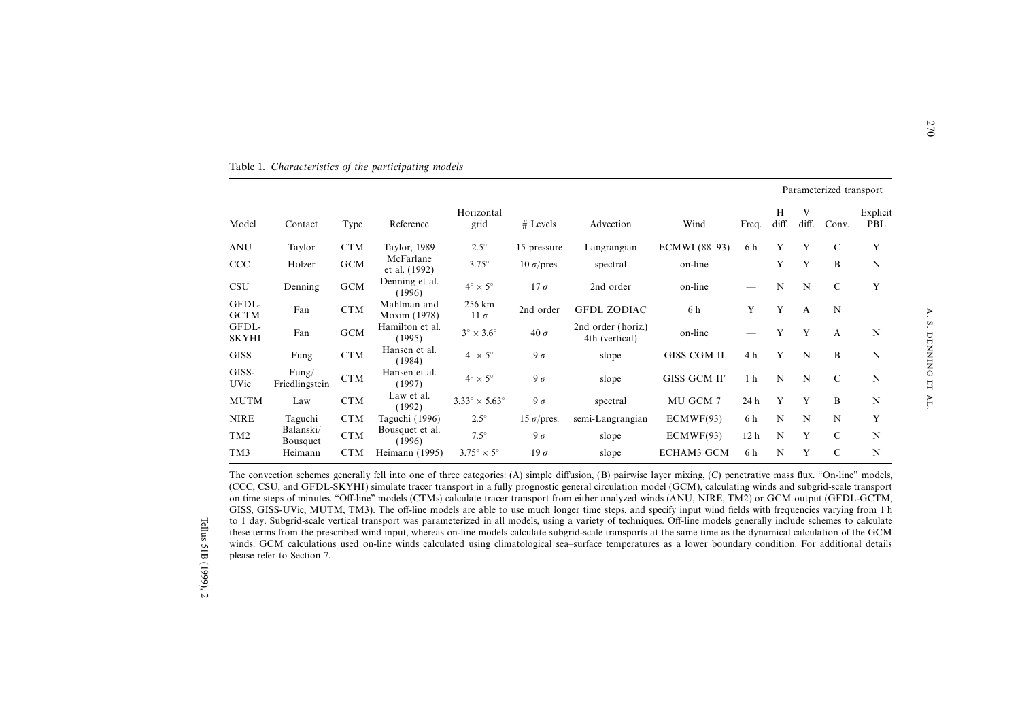|                       |                              |                             |                             |                                    |                    |                                      |                    |                 |             |            | Parameterized transport |                 |
|-----------------------|------------------------------|-----------------------------|-----------------------------|------------------------------------|--------------------|--------------------------------------|--------------------|-----------------|-------------|------------|-------------------------|-----------------|
| Model                 | Contact                      | Type                        | Reference                   | Horizontal<br>grid                 | $#$ Levels         | Advection                            | Wind               | Freq.           | Н<br>diff.  | V<br>diff. | Conv.                   | Explicit<br>PBL |
| <b>ANU</b>            | Taylor                       | <b>CTM</b>                  | Taylor, 1989                | $2.5^\circ$                        | 15 pressure        | Langrangian                          | ECMWI (88-93)      | 6 h             | Y           | Y          | C                       | Y               |
| <b>CCC</b>            | Holzer                       | <b>GCM</b>                  | McFarlane<br>et al. (1992)  | $3.75^{\circ}$                     | 10 $\sigma$ /pres. | spectral                             | on-line            |                 | Y           | Y          | $\bf{B}$                | N               |
| <b>CSU</b>            | Denning                      | <b>GCM</b>                  | Denning et al.<br>(1996)    | $4^\circ \times 5^\circ$           | $17\sigma$         | 2nd order                            | on-line            |                 | N           | N          | $\mathcal{C}$           | Y               |
| GFDL-<br><b>GCTM</b>  | Fan                          | $\ensuremath{\mathbf{CTM}}$ | Mahlman and<br>Moxim (1978) | 256 km<br>$11\sigma$               | 2nd order          | <b>GFDL ZODIAC</b>                   | 6 h                | Y               | Y           | A          | ${\bf N}$               |                 |
| GFDL-<br><b>SKYHI</b> | Fan                          | <b>GCM</b>                  | Hamilton et al.<br>(1995)   | $3^\circ \times 3.6^\circ$         | $40\sigma$         | 2nd order (horiz.)<br>4th (vertical) | on-line            |                 | Y           | Y          | $\mathbf{A}$            | N               |
| <b>GISS</b>           | Fung                         | $\ensuremath{\mathbf{CTM}}$ | Hansen et al.<br>(1984)     | $4^\circ \times 5^\circ$           | $9\sigma$          | slope                                | <b>GISS CGM II</b> | 4 <sub>h</sub>  | Y           | N          | $\bf{B}$                | N               |
| GISS-<br>UVic         | Fung/<br>Friedlingstein      | <b>CTM</b>                  | Hansen et al.<br>(1997)     | $4^\circ \times 5^\circ$           | $9\sigma$          | slope                                | GISS GCM II'       | 1 <sub>h</sub>  | $\mathbf N$ | N          | $\mathcal{C}$           | N               |
| <b>MUTM</b>           | Law                          | <b>CTM</b>                  | Law et al.<br>(1992)        | $3.33^{\circ} \times 5.63^{\circ}$ | $9\sigma$          | spectral                             | MU GCM 7           | 24 h            | Y           | Y          | B                       | N               |
| <b>NIRE</b>           | Taguchi                      | <b>CTM</b>                  | Taguchi (1996)              | $2.5^{\circ}$                      | 15 $\sigma$ /pres. | semi-Langrangian                     | ECMWF(93)          | 6 h             | N           | N          | ${\bf N}$               | Y               |
| TM <sub>2</sub>       | Balanski/<br><b>Bousquet</b> | <b>CTM</b>                  | Bousquet et al.<br>(1996)   | $7.5^\circ$                        | $9\sigma$          | slope                                | ECMWF(93)          | 12 <sub>h</sub> | N           | Y          | $\mathcal{C}$           | N               |
| TM3                   | Heimann                      | <b>CTM</b>                  | Heimann (1995)              | $3.75^{\circ} \times 5^{\circ}$    | $19\sigma$         | slope                                | <b>ECHAM3 GCM</b>  | 6 h             | N           | Y          | $\mathcal{C}$           | $\mathbf N$     |

The convection schemes generally fell into one of three categories: (A) simple diffusion, (B) pairwise layer mixing, (C) penetrative mass flux. "On-line" models, (CCC, CSU, and GFDL-SKYHI) simulate tracer transport in <sup>a</sup> fully prognostic general circulation model (GCM), calculating winds and subgrid-scale transport on time steps of minutes. ''Off-line'' models (CTMs) calculate tracer transport from either analyzed winds (ANU, NIRE, TM2) or GCM output (GFDL-GCTM, GISS, GISS-UVic, MUTM, TM3). The off-line models are able to use much longer time steps, and specify input wind fields with frequencies varying from 1 h to 1 day. Subgrid-scale vertical transport was parameterized in all models, using <sup>a</sup> variety of techniques. Off-line models generally include schemes to calculate these terms from the prescribed wind input, whereas on-line models calculate subgrid-scale transports at the same time as the dynamical calculation of the GCM winds. GCM calculations used on-line winds calculated using climatological sea–surface temperatures as a lower boundary condition. For additional details please refer to Section 7.

Tellus 51B (1999), 2 Tellus 51B (1999), 2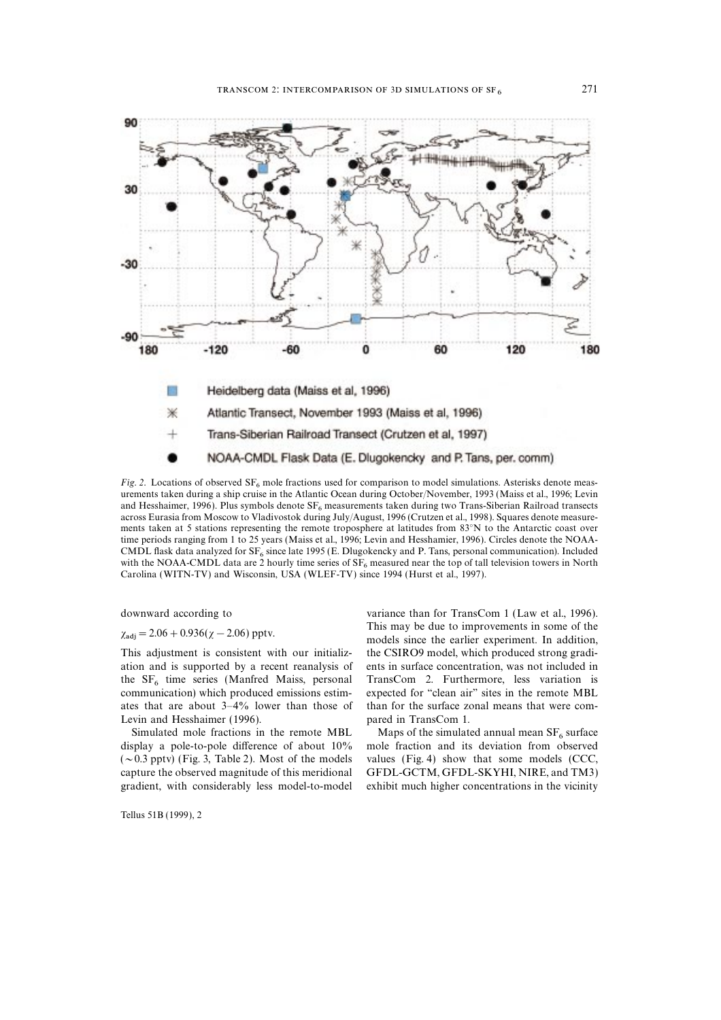

Fig. 2. Locations of observed  $SF_6$  mole fractions used for comparison to model simulations. Asterisks denote measurements taken during a ship cruise in the Atlantic Ocean during October/November, 1993 (Maiss et al., 1996; Levin and Hesshaimer, 1996). Plus symbols denote  $SF<sub>6</sub>$  measurements taken during two Trans-Siberian Railroad transects across Eurasia from Moscow to Vladivostok during July/August, 1996 (Crutzen et al., 1998). Squares denote measurements taken at 5 stations representing the remote troposphere at latitudes from 83°N to the Antarctic coast over time periods ranging from 1 to 25 years (Maiss et al., 1996; Levin and Hesshamier, 1996). Circles denote the NOAA-CMDL flask data analyzed for  $SF_6$  since late 1995 (E. Dlugokencky and P. Tans, personal communication). Included with the NOAA-CMDL data are 2 hourly time series of  $SF_6$  measured near the top of tall television towers in North Carolina (WITN-TV) and Wisconsin, USA (WLEF-TV) since 1994 (Hurst et al., 1997).

ation and is supported by a recent reanalysis of ents in surface concentration, was not included in the  $SF<sub>6</sub>$  time series (Manfred Maiss, personal TransCom 2. Furthermore, less variation is communication) which produced emissions estim-<br>expected for "clean air" sites in the remote MBL ates that are about 3–4% lower than those of than for the surface zonal means that were com-Levin and Hesshaimer (1996). pared in TransCom 1.

display a pole-to-pole difference of about  $10\%$ gradient, with considerably less model-to-model exhibit much higher concentrations in the vicinity

Tellus 51B (1999), 2

downward according to variance than for TransCom 1 (Law et al., 1996).  $\chi_{\text{adj}} = 2.06 + 0.936(\chi - 2.06)$  pptv.<br>This may be due to improvements in some of the models since the earlier experiment. In addition, This adjustment is consistent with our initializ- the CSIRO9 model, which produced strong gradiexpected for "clean air" sites in the remote MBL

Simulated mole fractions in the remote MBL Maps of the simulated annual mean  $SF_6$  surface splay a pole-to-pole difference of about 10% mole fraction and its deviation from observed  $(-0.3 \text{ pptv})$  (Fig. 3, Table 2). Most of the models values (Fig. 4) show that some models (CCC, capture the observed magnitude of this meridional GFDL-GCTM, GFDL-SKYHI, NIRE, and TM3)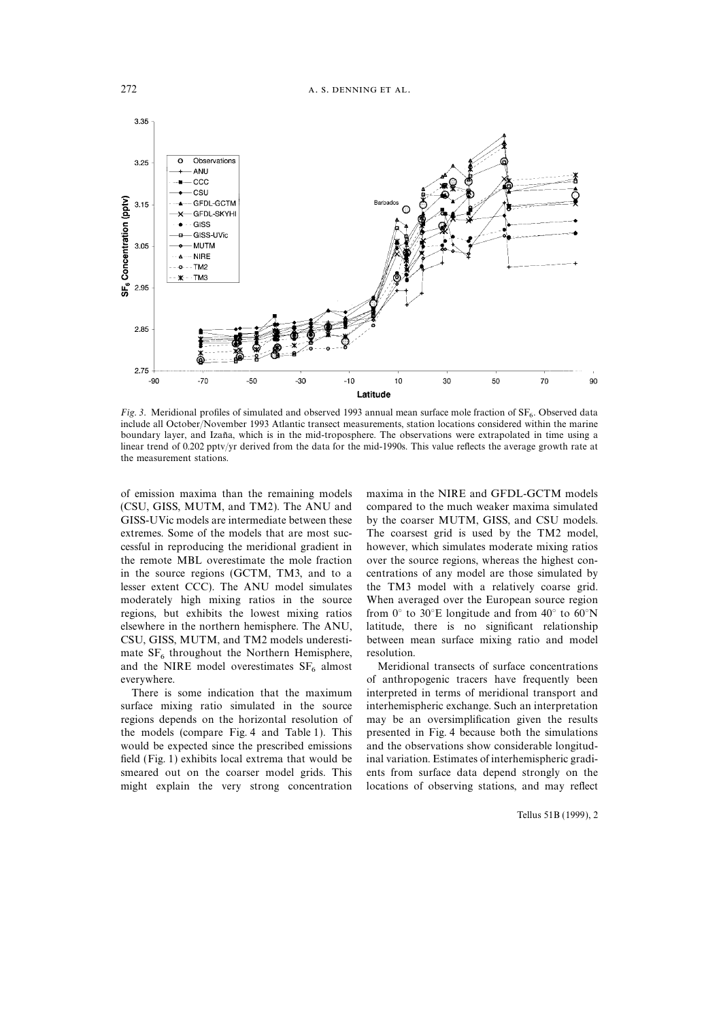

Fig. 3. Meridional profiles of simulated and observed 1993 annual mean surface mole fraction of  $SF_6$ . Observed data<br>include all October Neuember 1003 Atlantic transect measurements, station locations considered within th include all October/November 1993 Atlantic transect measurements, station locations considered within the marine boundary layer, and Izaña, which is in the mid-troposphere. The observations were extrapolated in time using a linear trend of 0.202 pptv/yr derived from the data for the mid-1990s. This value reflects the average growth rate at the measurement stations.

mate  $SF_6$  throughout the Northern Hemisphere, resolution.<br>and the NIRE model overestimates  $SF_6$  almost Meridional transects of surface concentrations and the NIRE model overestimates  $SF_6$  almost everywhere.

surface mixing ratio simulated in the source interhemispheric exchange. Such an interpretation regions depends on the horizontal resolution of may be an oversimplification given the results the models (compare Fig. 4 and Table 1). This presented in Fig. 4 because both the simulations would be expected since the prescribed emissions and the observations show considerable longitudfield (Fig. 1) exhibits local extrema that would be inal variation. Estimates of interhemispheric gradismeared out on the coarser model grids. This ents from surface data depend strongly on the might explain the very strong concentration locations of observing stations, and may reflect

of emission maxima than the remaining models maxima in the NIRE and GFDL-GCTM models (CSU, GISS, MUTM, and TM2). The ANU and compared to the much weaker maxima simulated GISS-UVic models are intermediate between these by the coarser MUTM, GISS, and CSU models. extremes. Some of the models that are most suc- The coarsest grid is used by the TM2 model, cessful in reproducing the meridional gradient in however, which simulates moderate mixing ratios the remote MBL overestimate the mole fraction over the source regions, whereas the highest conin the source regions (GCTM, TM3, and to a centrations of any model are those simulated by lesser extent CCC). The ANU model simulates the TM3 model with a relatively coarse grid. moderately high mixing ratios in the source When averaged over the European source region regions, but exhibits the lowest mixing ratios from  $0^{\circ}$  to  $30^{\circ}$ E longitude and from  $40^{\circ}$  to  $60^{\circ}$ N elsewhere in the northern hemisphere. The ANU, latitude, there is no significant relationship CSU, GISS, MUTM, and TM2 models underesti- between mean surface mixing ratio and model

of anthropogenic tracers have frequently been There is some indication that the maximum interpreted in terms of meridional transport and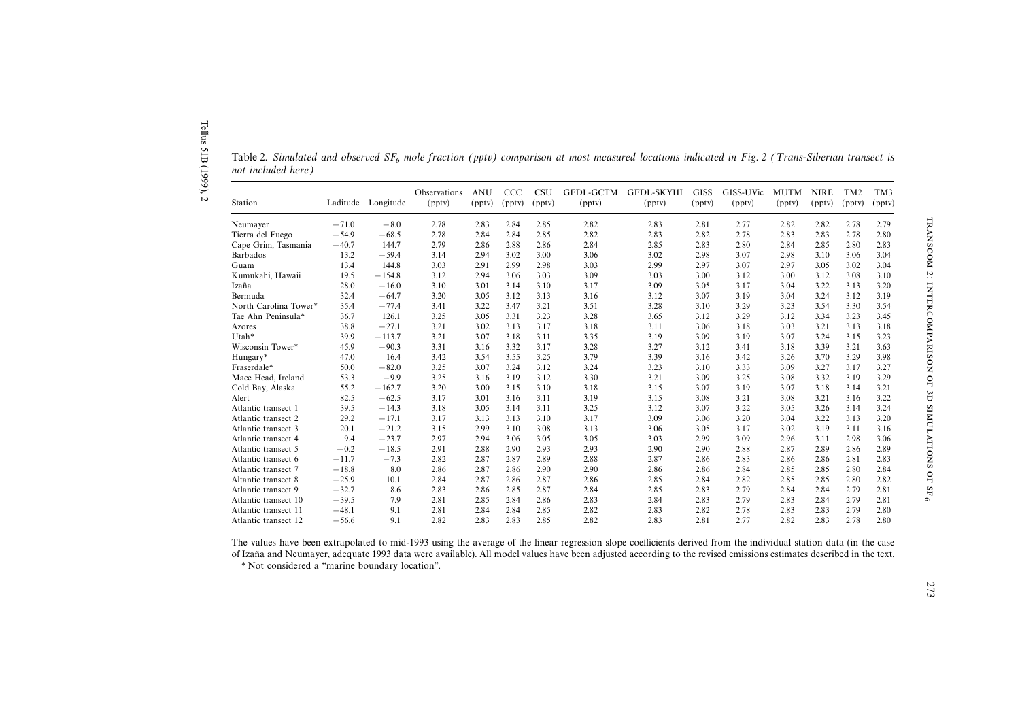Tellus 51B (1999), 2 Tellus 51B (1999), 2

| Table 2. Simulated and observed $SF_6$ mole fraction (pptv) comparison at most measured locations indicated in Fig. 2 (Trans-Siberian transect is |  |  |  |  |  |  |
|---------------------------------------------------------------------------------------------------------------------------------------------------|--|--|--|--|--|--|
| not included here)                                                                                                                                |  |  |  |  |  |  |

| Station               | Laditude | Longitude | <b>Observations</b><br>(pptv) | <b>ANU</b><br>(pptv) | <b>CCC</b><br>(pptv) | <b>CSU</b><br>(pptv) | <b>GFDL-GCTM</b><br>(pptv) | <b>GFDL-SKYHI</b><br>(pptv) | <b>GISS</b><br>(pptv) | GISS-UVic<br>(pptv) | <b>MUTM</b><br>(pptv) | <b>NIRE</b><br>(pptv) | TM <sub>2</sub><br>(pptv) | TM <sub>3</sub><br>(pptv) |
|-----------------------|----------|-----------|-------------------------------|----------------------|----------------------|----------------------|----------------------------|-----------------------------|-----------------------|---------------------|-----------------------|-----------------------|---------------------------|---------------------------|
| Neumayer              | $-71.0$  | $-8.0$    | 2.78                          | 2.83                 | 2.84                 | 2.85                 | 2.82                       | 2.83                        | 2.81                  | 2.77                | 2.82                  | 2.82                  | 2.78                      | 2.79                      |
| Tierra del Fuego      | $-54.9$  | $-68.5$   | 2.78                          | 2.84                 | 2.84                 | 2.85                 | 2.82                       | 2.83                        | 2.82                  | 2.78                | 2.83                  | 2.83                  | 2.78                      | 2.80                      |
| Cape Grim, Tasmania   | $-40.7$  | 144.7     | 2.79                          | 2.86                 | 2.88                 | 2.86                 | 2.84                       | 2.85                        | 2.83                  | 2.80                | 2.84                  | 2.85                  | 2.80                      | 2.83                      |
| <b>Barbados</b>       | 13.2     | $-59.4$   | 3.14                          | 2.94                 | 3.02                 | 3.00                 | 3.06                       | 3.02                        | 2.98                  | 3.07                | 2.98                  | 3.10                  | 3.06                      | 3.04                      |
| Guam                  | 13.4     | 144.8     | 3.03                          | 2.91                 | 2.99                 | 2.98                 | 3.03                       | 2.99                        | 2.97                  | 3.07                | 2.97                  | 3.05                  | 3.02                      | 3.04                      |
| Kumukahi, Hawaii      | 19.5     | $-154.8$  | 3.12                          | 2.94                 | 3.06                 | 3.03                 | 3.09                       | 3.03                        | 3.00                  | 3.12                | 3.00                  | 3.12                  | 3.08                      | 3.10                      |
| Izaña                 | 28.0     | $-16.0$   | 3.10                          | 3.01                 | 3.14                 | 3.10                 | 3.17                       | 3.09                        | 3.05                  | 3.17                | 3.04                  | 3.22                  | 3.13                      | 3.20                      |
| Bermuda               | 32.4     | $-64.7$   | 3.20                          | 3.05                 | 3.12                 | 3.13                 | 3.16                       | 3.12                        | 3.07                  | 3.19                | 3.04                  | 3.24                  | 3.12                      | 3.19                      |
| North Carolina Tower* | 35.4     | $-77.4$   | 3.41                          | 3.22                 | 3.47                 | 3.21                 | 3.51                       | 3.28                        | 3.10                  | 3.29                | 3.23                  | 3.54                  | 3.30                      | 3.54                      |
| Tae Ahn Peninsula*    | 36.7     | 126.1     | 3.25                          | 3.05                 | 3.31                 | 3.23                 | 3.28                       | 3.65                        | 3.12                  | 3.29                | 3.12                  | 3.34                  | 3.23                      | 3.45                      |
| Azores                | 38.8     | $-27.1$   | 3.21                          | 3.02                 | 3.13                 | 3.17                 | 3.18                       | 3.11                        | 3.06                  | 3.18                | 3.03                  | 3.21                  | 3.13                      | 3.18                      |
| Utah*                 | 39.9     | $-113.7$  | 3.21                          | 3.07                 | 3.18                 | 3.11                 | 3.35                       | 3.19                        | 3.09                  | 3.19                | 3.07                  | 3.24                  | 3.15                      | 3.23                      |
| Wisconsin Tower*      | 45.9     | $-90.3$   | 3.31                          | 3.16                 | 3.32                 | 3.17                 | 3.28                       | 3.27                        | 3.12                  | 3.41                | 3.18                  | 3.39                  | 3.21                      | 3.63                      |
| Hungary*              | 47.0     | 16.4      | 3.42                          | 3.54                 | 3.55                 | 3.25                 | 3.79                       | 3.39                        | 3.16                  | 3.42                | 3.26                  | 3.70                  | 3.29                      | 3.98                      |
| Fraserdale*           | 50.0     | $-82.0$   | 3.25                          | 3.07                 | 3.24                 | 3.12                 | 3.24                       | 3.23                        | 3.10                  | 3.33                | 3.09                  | 3.27                  | 3.17                      | 3.27                      |
| Mace Head, Ireland    | 53.3     | $-9.9$    | 3.25                          | 3.16                 | 3.19                 | 3.12                 | 3.30                       | 3.21                        | 3.09                  | 3.25                | 3.08                  | 3.32                  | 3.19                      | 3.29                      |
| Cold Bay, Alaska      | 55.2     | $-162.7$  | 3.20                          | 3.00                 | 3.15                 | 3.10                 | 3.18                       | 3.15                        | 3.07                  | 3.19                | 3.07                  | 3.18                  | 3.14                      | 3.21                      |
| Alert                 | 82.5     | $-62.5$   | 3.17                          | 3.01                 | 3.16                 | 3.11                 | 3.19                       | 3.15                        | 3.08                  | 3.21                | 3.08                  | 3.21                  | 3.16                      | 3.22                      |
| Atlantic transect 1   | 39.5     | $-14.3$   | 3.18                          | 3.05                 | 3.14                 | 3.11                 | 3.25                       | 3.12                        | 3.07                  | 3.22                | 3.05                  | 3.26                  | 3.14                      | 3.24                      |
| Atlantic transect 2   | 29.2     | $-17.1$   | 3.17                          | 3.13                 | 3.13                 | 3.10                 | 3.17                       | 3.09                        | 3.06                  | 3.20                | 3.04                  | 3.22                  | 3.13                      | 3.20                      |
| Atlantic transect 3   | 20.1     | $-21.2$   | 3.15                          | 2.99                 | 3.10                 | 3.08                 | 3.13                       | 3.06                        | 3.05                  | 3.17                | 3.02                  | 3.19                  | 3.11                      | 3.16                      |
| Atlantic transect 4   | 9.4      | $-23.7$   | 2.97                          | 2.94                 | 3.06                 | 3.05                 | 3.05                       | 3.03                        | 2.99                  | 3.09                | 2.96                  | 3.11                  | 2.98                      | 3.06                      |
| Atlantic transect 5   | $-0.2$   | $-18.5$   | 2.91                          | 2.88                 | 2.90                 | 2.93                 | 2.93                       | 2.90                        | 2.90                  | 2.88                | 2.87                  | 2.89                  | 2.86                      | 2.89                      |
| Atlantic transect 6   | $-11.7$  | $-7.3$    | 2.82                          | 2.87                 | 2.87                 | 2.89                 | 2.88                       | 2.87                        | 2.86                  | 2.83                | 2.86                  | 2.86                  | 2.81                      | 2.83                      |
| Atlantic transect 7   | $-18.8$  | 8.0       | 2.86                          | 2.87                 | 2.86                 | 2.90                 | 2.90                       | 2.86                        | 2.86                  | 2.84                | 2.85                  | 2.85                  | 2.80                      | 2.84                      |
| Altantic transect 8   | $-25.9$  | 10.1      | 2.84                          | 2.87                 | 2.86                 | 2.87                 | 2.86                       | 2.85                        | 2.84                  | 2.82                | 2.85                  | 2.85                  | 2.80                      | 2.82                      |
| Atlantic transect 9   | $-32.7$  | 8.6       | 2.83                          | 2.86                 | 2.85                 | 2.87                 | 2.84                       | 2.85                        | 2.83                  | 2.79                | 2.84                  | 2.84                  | 2.79                      | 2.81                      |
| Atlantic transect 10  | $-39.5$  | 7.9       | 2.81                          | 2.85                 | 2.84                 | 2.86                 | 2.83                       | 2.84                        | 2.83                  | 2.79                | 2.83                  | 2.84                  | 2.79                      | 2.81                      |
| Atlantic transect 11  | $-48.1$  | 9.1       | 2.81                          | 2.84                 | 2.84                 | 2.85                 | 2.82                       | 2.83                        | 2.82                  | 2.78                | 2.83                  | 2.83                  | 2.79                      | 2.80                      |
| Atlantic transect 12  | $-56.6$  | 9.1       | 2.82                          | 2.83                 | 2.83                 | 2.85                 | 2.82                       | 2.83                        | 2.81                  | 2.77                | 2.82                  | 2.83                  | 2.78                      | 2.80                      |

The values have been extrapolated to mid-1993 using the average of the linear regression slope coefficients derived from the individual station data (in the case of Izaña and Neumayer, adequate 1993 data were available). All model values have been adjusted according to the revised emissions estimates described in the text. \*Not considered <sup>a</sup> ''marine boundary location''.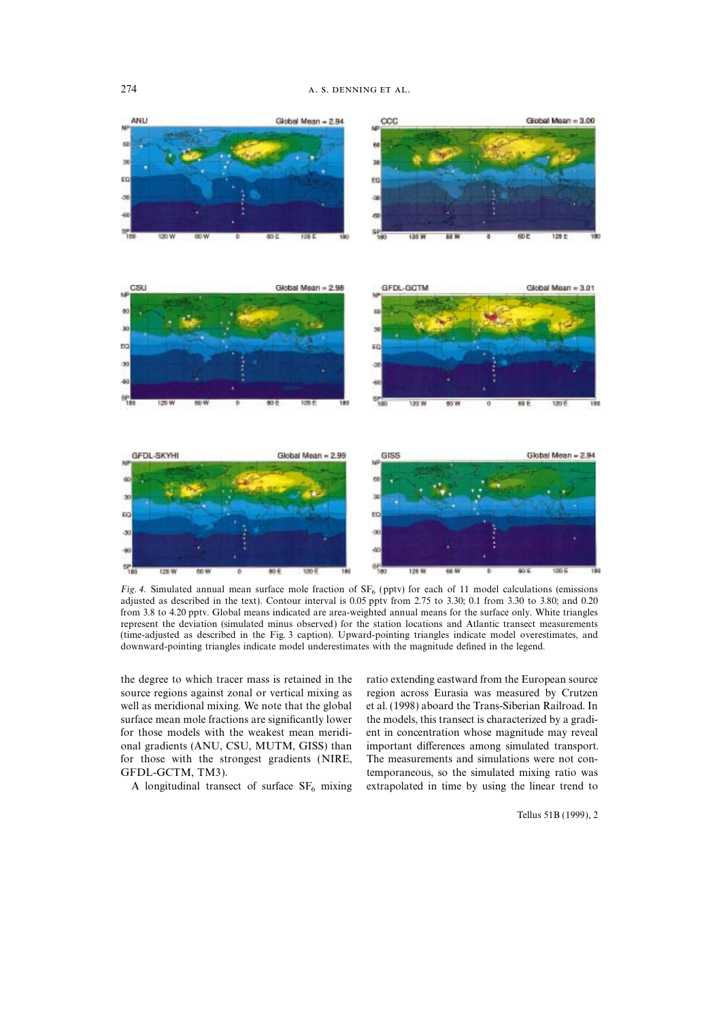

Fig. 4. Simulated annual mean surface mole fraction of  $SF<sub>6</sub>$  (pptv) for each of 11 model calculations (emissions adjusted as described in the text). Contour interval is 0.05 pptv from 2.75 to 3.30; 0.1 from 3.30 to 3.80; and 0.20 from 3.8 to 4.20 pptv. Global means indicated are area-weighted annual means for the surface only. White triangles represent the deviation (simulated minus observed) for the station locations and Atlantic transect measurements (time-adjusted as described in the Fig. 3 caption). Upward-pointing triangles indicate model overestimates, and downward-pointing triangles indicate model underestimates with the magnitude defined in the legend.

surface mean mole fractions are significantly lower the models, this transect is characterized by a gradi-

the degree to which tracer mass is retained in the ratio extending eastward from the European source source regions against zonal or vertical mixing as region across Eurasia was measured by Crutzen well as meridional mixing. We note that the global et al. (1998) aboard the Trans-Siberian Railroad. In for those models with the weakest mean meridi- ent in concentration whose magnitude may reveal onal gradients (ANU, CSU, MUTM, GISS) than important differences among simulated transport. for those with the strongest gradients (NIRE, The measurements and simulations were not con-GFDL-GCTM, TM3). temporaneous, so the simulated mixing ratio was A longitudinal transect of surface  $SF_6$  mixing extrapolated in time by using the linear trend to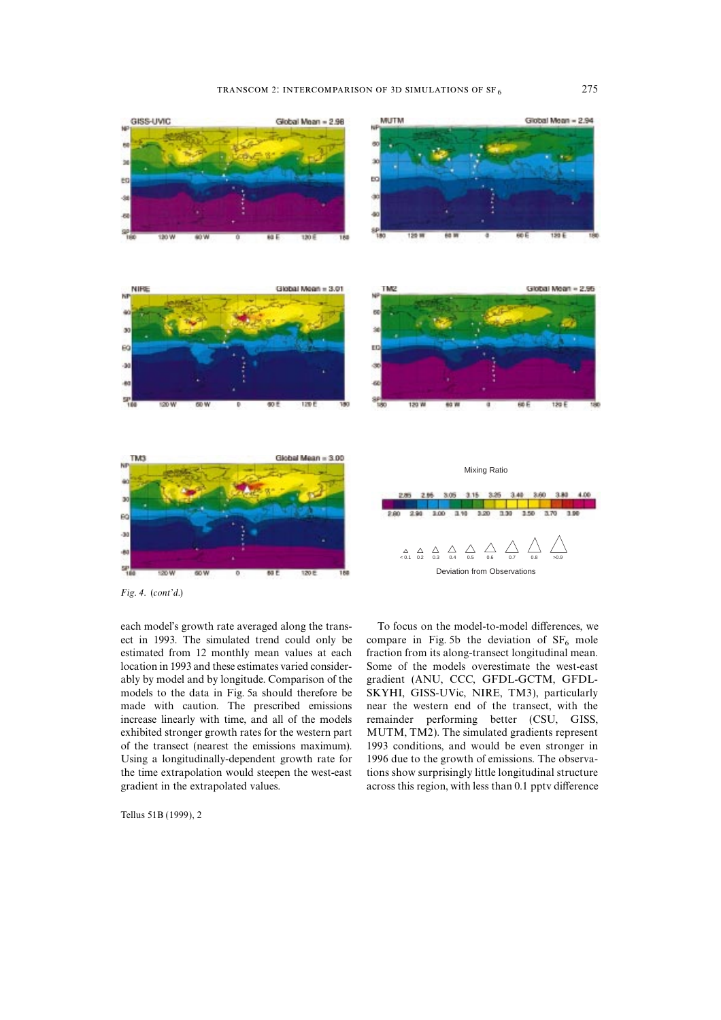











Mixing Ratio

Fig. 4. (cont'd.)

each model's growth rate averaged along the trans- To focus on the model-to-model differences, we

ect in 1993. The simulated trend could only be compare in Fig. 5b the deviation of  $SF<sub>6</sub>$  mole estimated from 12 monthly mean values at each fraction from its along-transect longitudinal mean. fraction from its along-transect longitudinal mean. location in 1993 and these estimates varied consider-<br>Some of the models overestimate the west-east ably by model and by longitude. Comparison of the gradient (ANU, CCC, GFDL-GCTM, GFDLmodels to the data in Fig. 5a should therefore be SKYHI, GISS-UVic, NIRE, TM3), particularly made with caution. The prescribed emissions near the western end of the transect, with the increase linearly with time, and all of the models remainder performing better (CSU, GISS, exhibited stronger growth rates for the western part MUTM, TM2). The simulated gradients represent of the transect (nearest the emissions maximum). 1993 conditions, and would be even stronger in Using a longitudinally-dependent growth rate for 1996 due to the growth of emissions. The observathe time extrapolation would steepen the west-east tions show surprisingly little longitudinal structure gradient in the extrapolated values. across this region, with less than 0.1 pptv difference

Tellus 51B (1999), 2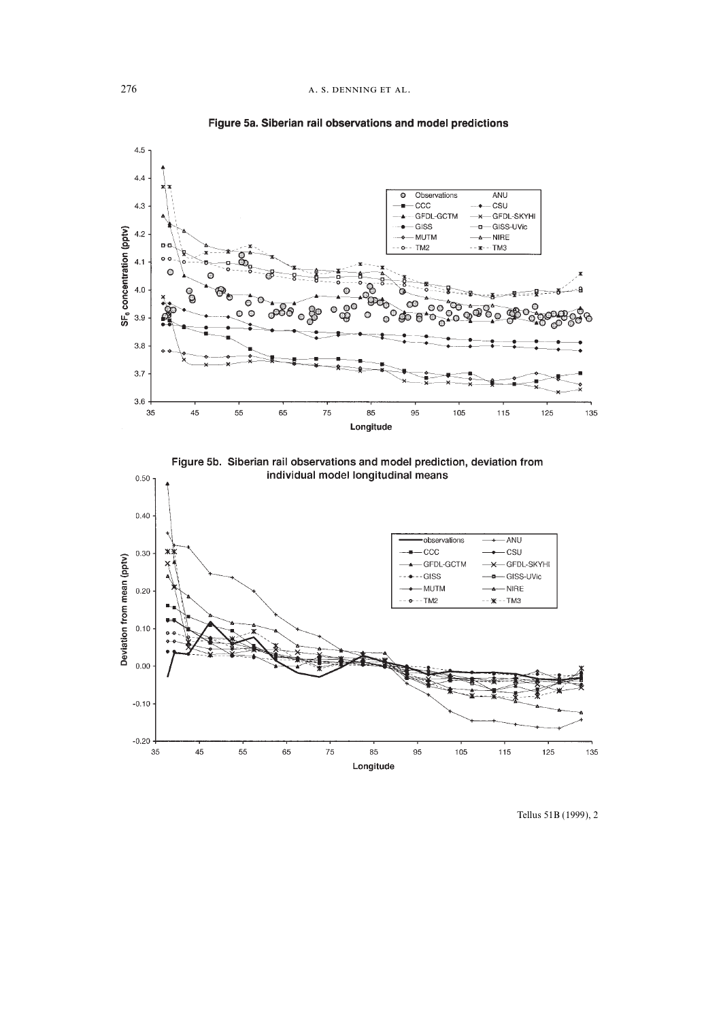

### Figure 5a. Siberian rail observations and model predictions

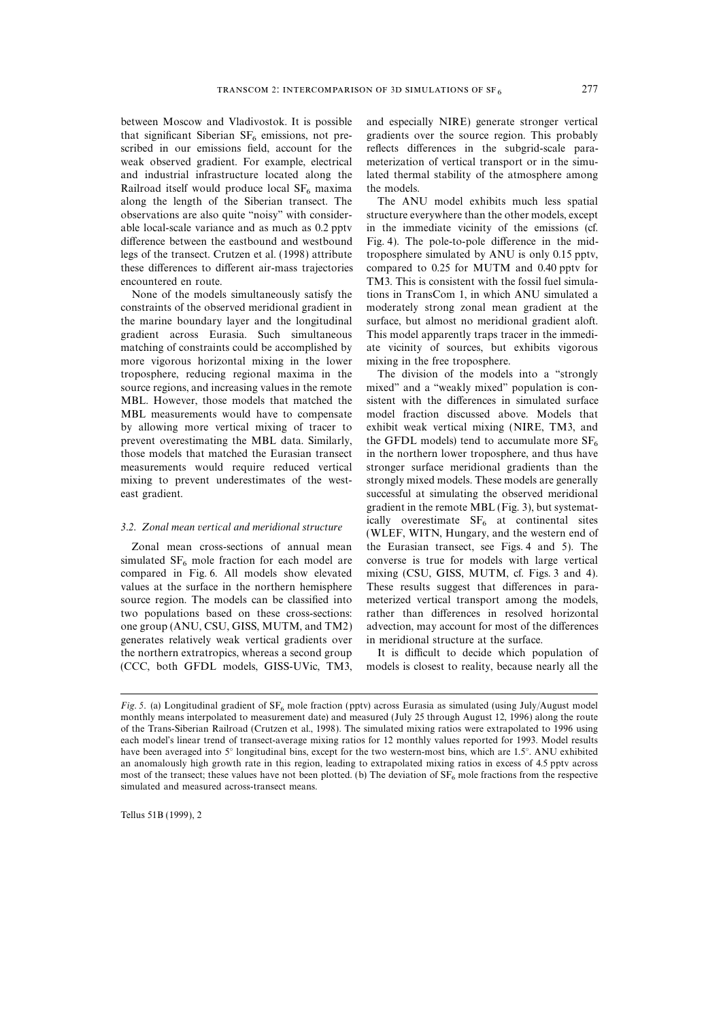between Moscow and Vladivostok. It is possible and especially NIRE) generate stronger vertical that significant Siberian  $SF_6$  emissions, not pre-<br>seribed in our emissions field, account for the reflects differences in the subgrid-scale paraweak observed gradient. For example, electrical meterization of vertical transport or in the simuand industrial infrastructure located along the lated thermal stability of the atmosphere among Railroad itself would produce local  $SF_6$  maxima the models.<br>along the length of the Siberian transect. The The ANU model exhibits much less spatial along the length of the Siberian transect. The observations are also quite ''noisy'' with consider- structure everywhere than the other models, except able local-scale variance and as much as 0.2 pptv in the immediate vicinity of the emissions (cf. difference between the eastbound and westbound Fig. 4). The pole-to-pole difference in the midlegs of the transect. Crutzen et al. (1998) attribute troposphere simulated by ANU is only 0.15 pptv, these differences to different air-mass trajectories compared to 0.25 for MUTM and 0.40 pptv for encountered en route. TM3. This is consistent with the fossil fuel simula-

constraints of the observed meridional gradient in moderately strong zonal mean gradient at the the marine boundary layer and the longitudinal surface, but almost no meridional gradient aloft. gradient across Eurasia. Such simultaneous This model apparently traps tracer in the immedimatching of constraints could be accomplished by ate vicinity of sources, but exhibits vigorous more vigorous horizontal mixing in the lower mixing in the free troposphere. troposphere, reducing regional maxima in the The division of the models into a ''strongly source regions, and increasing values in the remote mixed" and a "weakly mixed" population is con-MBL. However, those models that matched the sistent with the differences in simulated surface MBL measurements would have to compensate model fraction discussed above. Models that by allowing more vertical mixing of tracer to exhibit weak vertical mixing (NIRE, TM3, and prevent overestimating the MBL data. Similarly, the GFDL models) tend to accumulate more  $SF<sub>6</sub>$  those models that matched the Eurasian transect in the northern lower troposphere, and thus have measurements would require reduced vertical stronger surface meridional gradients than the mixing to prevent underestimates of the west- strongly mixed models. These models are generally east gradient. successful at simulating the observed meridional

simulated  $SF<sub>6</sub>$  mole fraction for each model are converse is true for models with large vertical compared in Fig. 6. All models show elevated mixing (CSU, GISS, MUTM, cf. Figs. 3 and 4). values at the surface in the northern hemisphere These results suggest that differences in parasource region. The models can be classified into meterized vertical transport among the models, two populations based on these cross-sections: rather than differences in resolved horizontal one group (ANU, CSU, GISS, MUTM, and TM2) advection, may account for most of the differences generates relatively weak vertical gradients over in meridional structure at the surface. the northern extratropics, whereas a second group It is difficult to decide which population of (CCC, both GFDL models, GISS-UVic, TM3, models is closest to reality, because nearly all the

reflects differences in the subgrid-scale para-

None of the models simultaneously satisfy the tions in TransCom 1, in which ANU simulated a

gradient in the remote MBL (Fig. 3), but systemat-3.2. Zonal mean vertical and meridional structure ically overestimate  $SF<sub>6</sub>$  at continental sites (WLEF, WITN, Hungary, and the western end of Zonal mean cross-sections of annual mean the Eurasian transect, see Figs. 4 and 5). The mixing (CSU, GISS, MUTM, cf. Figs. 3 and 4).

Fig. 5. (a) Longitudinal gradient of  $SF_6$  mole fraction (pptv) across Eurasia as simulated (using July/August model monthly means interpolated to measurement date) and measured (July 25 through August 12, 1996) along the route of the Trans-Siberian Railroad (Crutzen et al., 1998). The simulated mixing ratios were extrapolated to 1996 using each model's linear trend of transect-average mixing ratios for 12 monthly values reported for 1993. Model results have been averaged into 5° longitudinal bins, except for the two western-most bins, which are 1.5°. ANU exhibited an anomalously high growth rate in this region, leading to extrapolated mixing ratios in excess of 4.5 pptv across most of the transect; these values have not been plotted. (b) The deviation of  $SF_6$  mole fractions from the respective simulated and measured across-transect means.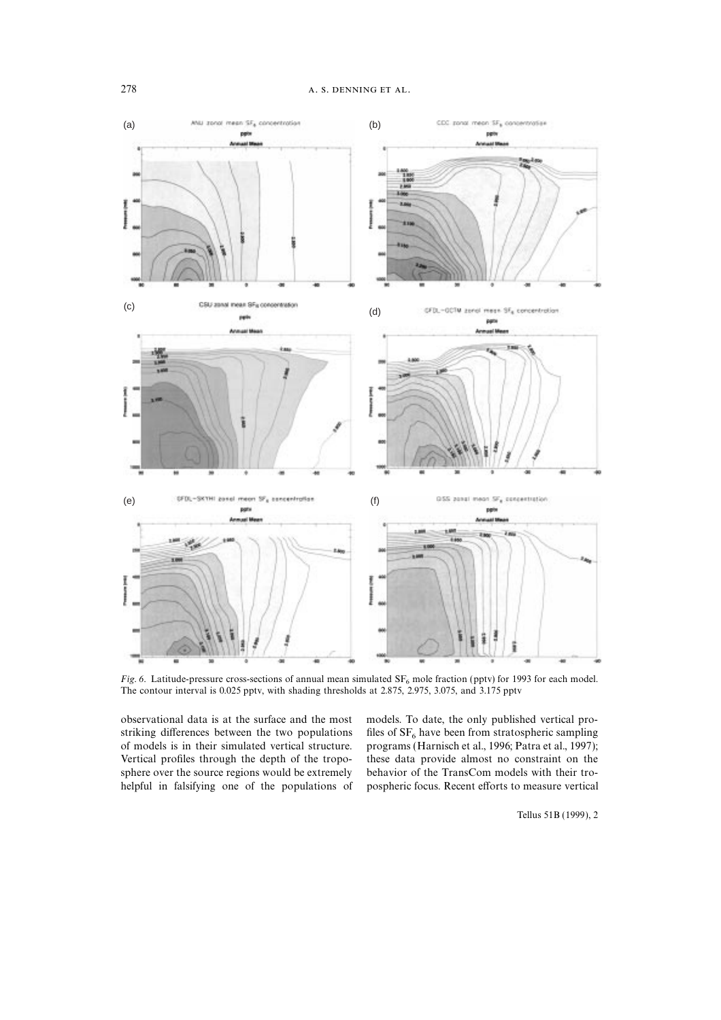

Fig. 6. Latitude-pressure cross-sections of annual mean simulated  $SF_6$  mole fraction (pptv) for 1993 for each model. The contour interval is 0.025 pptv, with shading thresholds at 2.875, 2.975, 3.075, and 3.175 pptv

striking differences between the two populations files of  $SF<sub>6</sub>$  have been from stratospheric sampling of models is in their simulated vertical structure. programs (Harnisch et al., 1996; Patra et al., 1997); Vertical profiles through the depth of the tropo- these data provide almost no constraint on the sphere over the source regions would be extremely behavior of the TransCom models with their trohelpful in falsifying one of the populations of pospheric focus. Recent efforts to measure vertical

observational data is at the surface and the most models. To date, the only published vertical proprograms (Harnisch et al., 1996; Patra et al., 1997);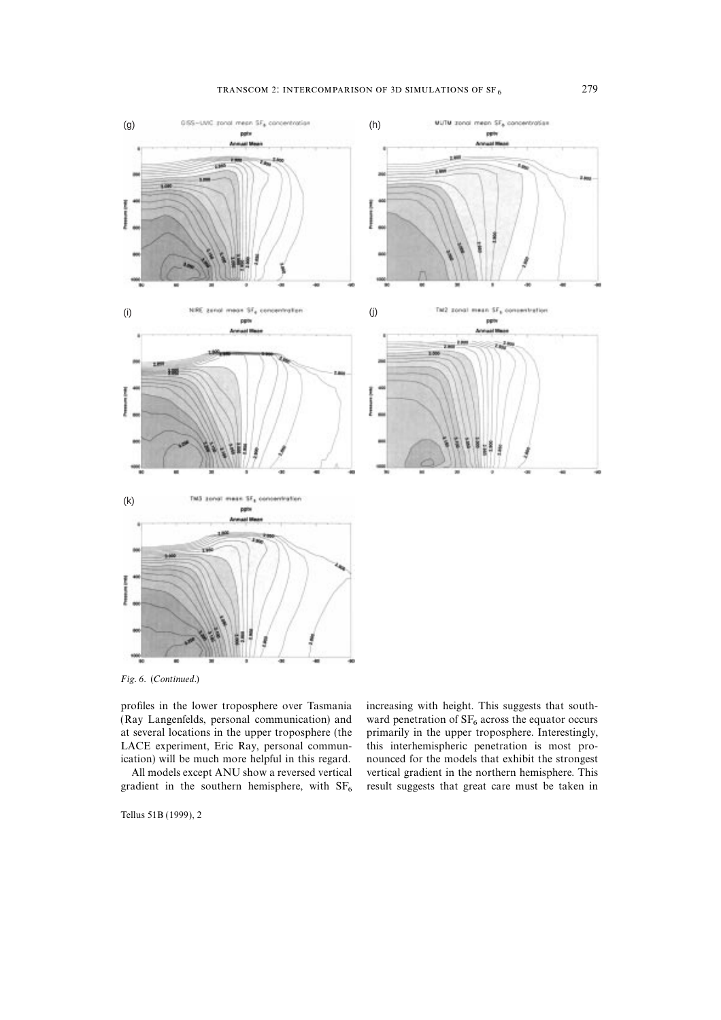

profiles in the lower troposphere over Tasmania increasing with height. This suggests that south-(Ray Langenfelds, personal communication) and ward penetration of  $SF<sub>6</sub>$  across the equator occurs at several locations in the upper troposphere (the primarily in the upper troposphere. Interestingly, LACE experiment, Eric Ray, personal commun- this interhemispheric penetration is most pro-

primarily in the upper troposphere. Interestingly, ication) will be much more helpful in this regard. nounced for the models that exhibit the strongest All models except ANU show a reversed vertical vertical gradient in the northern hemisphere. This gradient in the southern hemisphere, with  $SF<sub>6</sub>$  result suggests that great care must be taken in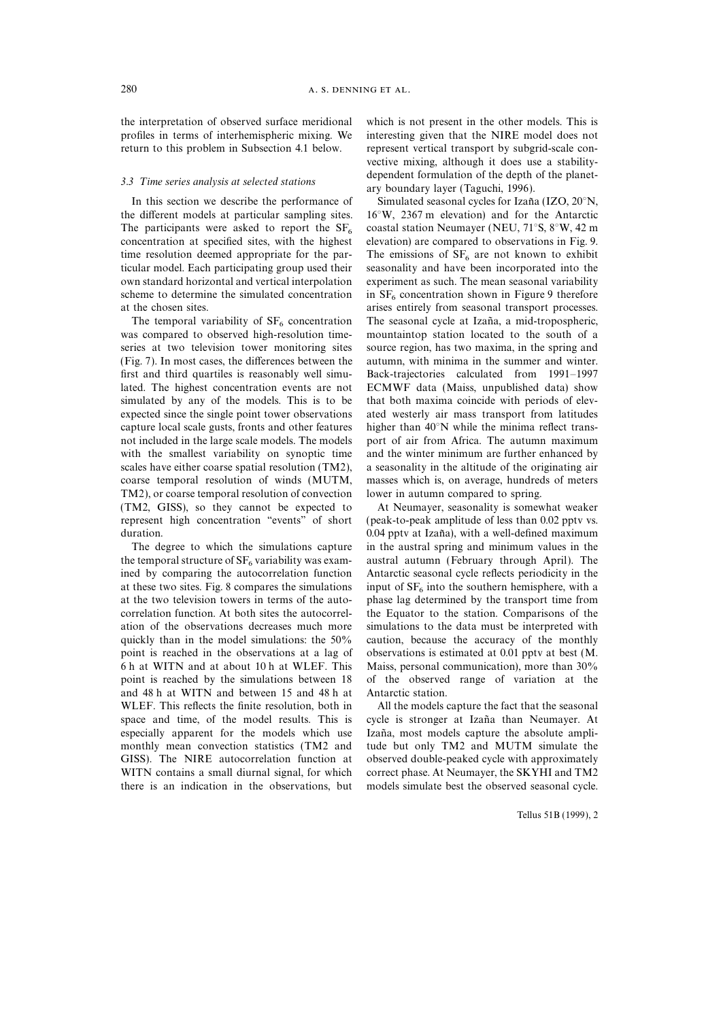profiles in terms of interhemispheric mixing. We interesting given that the NIRE model does not return to this problem in Subsection 4.1 below. represent vertical transport by subgrid-scale con-

the different models at particular sampling sites. 16°W, 2367 m elevation) and for the Antarctic The participants were asked to report the  $SF_6$  coastal station Neumayer (NEU, 71°S, 8°W, 42 m concentration at specified sites, with the highest elevation) are compared to observations in Fig. 9. time resolution deemed appropriate for the par-<br>The emissions of  $SF<sub>6</sub>$  are not known to exhibit<br>ticular model. Each participating group used their seasonality and have been incorporated into the own standard horizontal and vertical interpolation experiment as such. The mean seasonal variability scheme to determine the simulated concentration in  $SF_6$  concentration shown in Figure 9 therefore at the chosen sites.

was compared to observed high-resolution timeseries at two television tower monitoring sites source region, has two maxima, in the spring and (Fig. 7). In most cases, the differences between the autumn, with minima in the summer and winter. first and third quartiles is reasonably well simu- Back-trajectories calculated from 1991–1997 lated. The highest concentration events are not ECMWF data (Maiss, unpublished data) show simulated by any of the models. This is to be that both maxima coincide with periods of elevexpected since the single point tower observations ated westerly air mass transport from latitudes capture local scale gusts, fronts and other features higher than 40°N while the minima reflect transnot included in the large scale models. The models port of air from Africa. The autumn maximum with the smallest variability on synoptic time and the winter minimum are further enhanced by scales have either coarse spatial resolution (TM2), a seasonality in the altitude of the originating air coarse temporal resolution of winds (MUTM, masses which is, on average, hundreds of meters TM2), or coarse temporal resolution of convection lower in autumn compared to spring. (TM2, GISS), so they cannot be expected to At Neumayer, seasonality is somewhat weaker represent high concentration "events" of short (peak-to-peak amplitude of less than 0.02 pptv vs. duration. 0.04 pptv at Izaña), with a well-defined maximum

the temporal structure of  $SF_6$  variability was examined by comparing the autocorrelation function at these two sites. Fig. 8 compares the simulations input of  $SF<sub>6</sub>$  into the southern hemisphere, with a at the two television towers in terms of the auto-<br>phase lag determined by the transport time from correlation function. At both sites the autocorrel- the Equator to the station. Comparisons of the ation of the observations decreases much more simulations to the data must be interpreted with quickly than in the model simulations: the 50% caution, because the accuracy of the monthly point is reached in the observations at a lag of observations is estimated at 0.01 pptv at best (M. 6 h at WITN and at about 10 h at WLEF. This Maiss, personal communication), more than 30% point is reached by the simulations between 18 of the observed range of variation at the and 48 h at WITN and between 15 and 48 h at Antarctic station. WLEF. This reflects the finite resolution, both in All the models capture the fact that the seasonal space and time, of the model results. This is cycle is stronger at Izaña than Neumayer. At especially apparent for the models which use Izaña, most models capture the absolute amplimonthly mean convection statistics (TM2 and tude but only TM2 and MUTM simulate the GISS). The NIRE autocorrelation function at observed double-peaked cycle with approximately WITN contains a small diurnal signal, for which correct phase. At Neumayer, the SKYHI and TM2 there is an indication in the observations, but models simulate best the observed seasonal cycle.

the interpretation of observed surface meridional which is not present in the other models. This is vective mixing, although it does use a stability-3.3 Time series analysis at selected stations dependent formulation of the depth of the planet-<br>ary boundary layer (Taguchi, 1996).

In this section we describe the performance of Simulated seasonal cycles for Izaña (IZO,  $20^{\circ}$ N, seasonality and have been incorporated into the arises entirely from seasonal transport processes. The temporal variability of  $SF_6$  concentration The seasonal cycle at Izaña, a mid-tropospheric, as compared to observed high-resolution time- mountaintop station located to the south of a

The degree to which the simulations capture in the austral spring and minimum values in the austral autumn (February through April). The Antarctic seasonal cycle reflects periodicity in the phase lag determined by the transport time from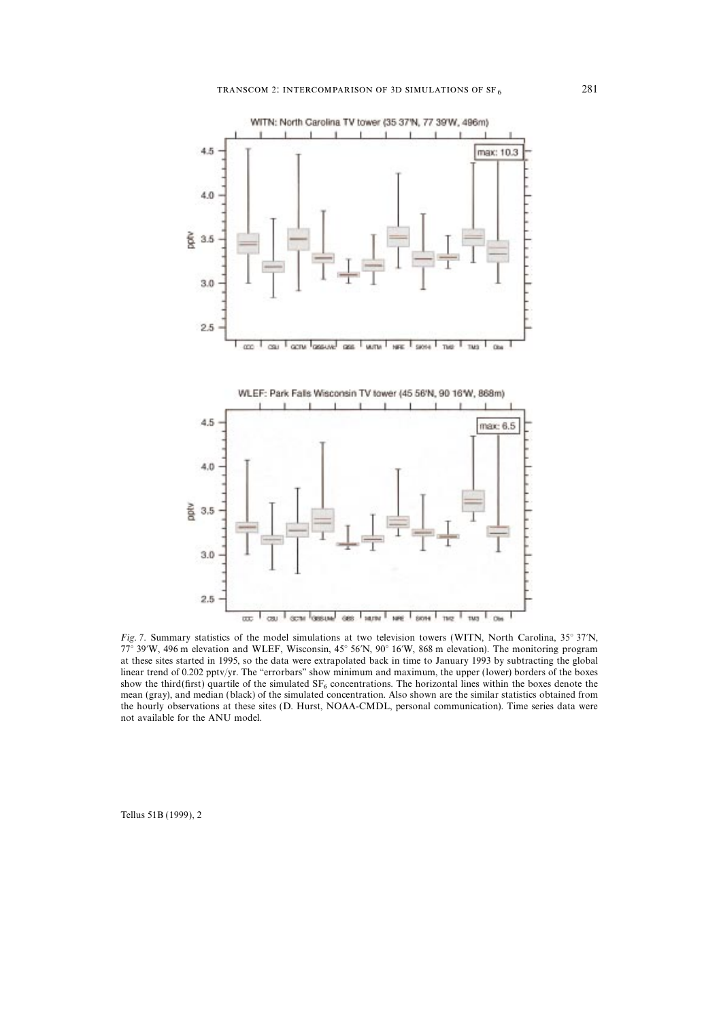

Fig. 7. Summary statistics of the model simulations at two television towers (WITN, North Carolina, 35° 37′N, 77° 39∞W, 496 m elevation and WLEF, Wisconsin, 45° 56∞N, 90° 16∞W, 868 m elevation). The monitoring program at these sites started in 1995, so the data were extrapolated back in time to January 1993 by subtracting the global linear trend of 0.202 pptv/yr. The ''errorbars'' show minimum and maximum, the upper (lower) borders of the boxes show the third(first) quartile of the simulated  $SF<sub>6</sub>$  concentrations. The horizontal lines within the boxes denote the mean (gray), and median (black) of the simulated concentration. Also shown are the similar statistics obtained from the hourly observations at these sites (D. Hurst, NOAA-CMDL, personal communication). Time series data were not available for the ANU model.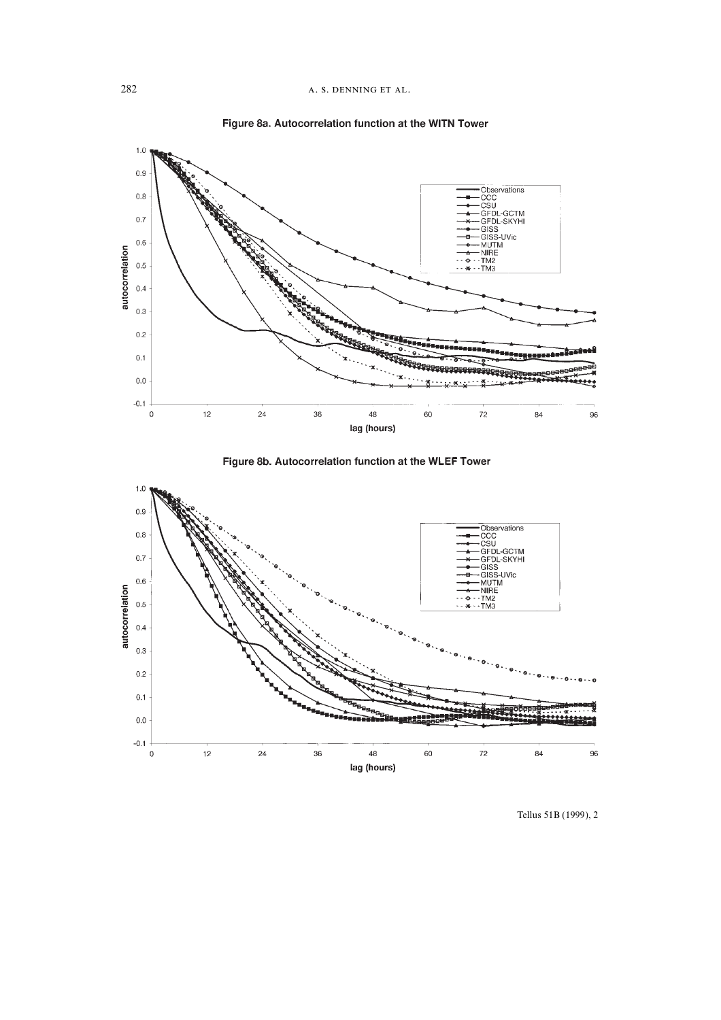

Figure 8a. Autocorrelation function at the WITN Tower



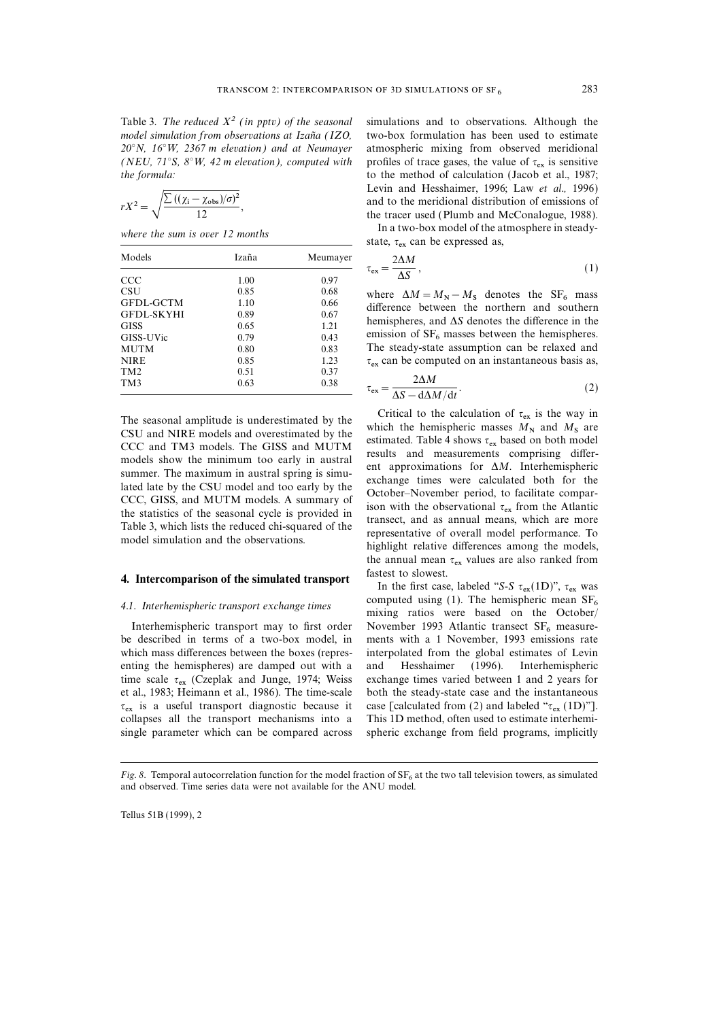$$
rX^2 = \sqrt{\frac{\sum ((\chi_{\rm i} - \chi_{\rm obs})/\sigma)^2}{12}},
$$

| Models            | Izaña | Meumayer |  |  |
|-------------------|-------|----------|--|--|
| CCC               | 1.00  | 0.97     |  |  |
| <b>CSU</b>        | 0.85  | 0.68     |  |  |
| <b>GFDL-GCTM</b>  | 1.10  | 0.66     |  |  |
| <b>GFDL-SKYHI</b> | 0.89  | 0.67     |  |  |
| <b>GISS</b>       | 0.65  | 1.21     |  |  |
| GISS-UVic         | 0.79  | 0.43     |  |  |
| <b>MUTM</b>       | 0.80  | 0.83     |  |  |
| <b>NIRE</b>       | 0.85  | 1.23     |  |  |
| TM <sub>2</sub>   | 0.51  | 0.37     |  |  |
| TM <sub>3</sub>   | 0.63  | 0.38     |  |  |

## **4. Intercomparison of the simulated transport**  $\frac{\text{fastest to slowest.}}{\text{3.5}}$

which mass differences between the boxes (repres- interpolated from the global estimates of Levin enting the hemispheres) are damped out with a and Hesshaimer (1996). Interhemispheric time scale  $\tau_{\text{ex}}$  (Czeplak and Junge, 1974; Weiss exchange times varied between 1 and 2 years for et al., 1983; Heimann et al., 1986). The time-scale both the steady-state case and the instantaneous et al., 1983; Heimann et al., 1986). The time-scale  $\tau_{\rm ex}$  is a useful transport diagnostic because it case [calculated from (2) and labeled " $\tau_{\rm ex}$  (1D)"]. collapses all the transport mechanisms into a This 1D method, often used to estimate interhemi-

Table 3. The reduced  $X^2$  (in pptv) of the seasonal simulations and to observations. Although the model simulation from observations at Izaña (IZO, two-box formulation has been used to estimate  $20^{\circ}$ N, 16°W, 2367 m elevation) and at Neumayer atmospheric mixing from observed meridional (NEU, 71°S, 8°W, 42 m elevation), computed with profiles of trace gases, the value of  $\tau_{ex}$  is sensitive the formula: the formula: to the method of calculation (Jacob et al., 1987; Levin and Hesshaimer, 1996; Law et al., 1996).  $rX^2 = \sqrt{\frac{2 \left( \left( \chi_i - \chi_{\text{obs}} \right) / \sigma \right)^2}{12}},$  and to the meridional distribution of emissions of the tracer used (Plumb and McConalogue, 1988).<br>In a two-box model of the atmosphere in steady-

In a two-box model of the atmosphere in steady- where the sum is over 12 months state,  $\tau_{\text{ex}}$  can be expressed as,

$$
\tau_{\text{ex}} = \frac{2\Delta M}{\Delta S},\tag{1}
$$

where  $\Delta M = M_N - M_S$  denotes the SF<sub>6</sub> mass difference between the northern and southern hemispheres, and  $\Delta S$  denotes the difference in the emission of  $SF<sub>6</sub>$  masses between the hemispheres. The steady-state assumption can be relaxed and  $\tau_{\rm ex}$  can be computed on an instantaneous basis as,

$$
\tau_{\text{ex}} = \frac{2\Delta M}{\Delta S - d\Delta M/dt}.
$$
 (2)

Critical to the calculation of  $\tau_{ex}$  is the way in The seasonal amplitude is underestimated by the which the hemispheric masses  $M_N$  and  $M_S$  are estimated. Table 4 shows  $\tau_{ex}$  based on both model control models and which the estimated. Table 4 shows  $\tau_{ex}$  based on bo CCC and TM3 models. The GISS and MUTM<br>models show the minimum too early in austral<br>summer. The maximum in austral spring is simulated late by the CSU model and too early by the<br>CCC, GISS, and MUTM models. A summary of<br>the CCC, GISS, and MUTM models. A summary of<br>the statistics of the seasonal cycle is provided in<br>Table 3, which lists the reduced chi-squared of the<br>model simulation and the observations.<br>The differences among the models,<br>in the annual mean  $\tau_{ex}$  values are also ranked from

 $_{\text{ex}}(1D)$ ",  $\tau_{\text{ex}}$  was 4.1. Interhemispheric transport exchange times  $\frac{1}{2}$  computed using (1). The hemispheric mean  $SF_6$  mixing ratios were based on the October/ Interhemispheric transport may to first order November 1993 Atlantic transect  $SF<sub>6</sub>$  measure-<br>be described in terms of a two-box model, in ments with a 1 November, 1993 emissions rate ments with a 1 November, 1993 emissions rate single parameter which can be compared across spheric exchange from field programs, implicitly

Fig. 8. Temporal autocorrelation function for the model fraction of  $SF<sub>6</sub>$  at the two tall television towers, as simulated and observed. Time series data were not available for the ANU model.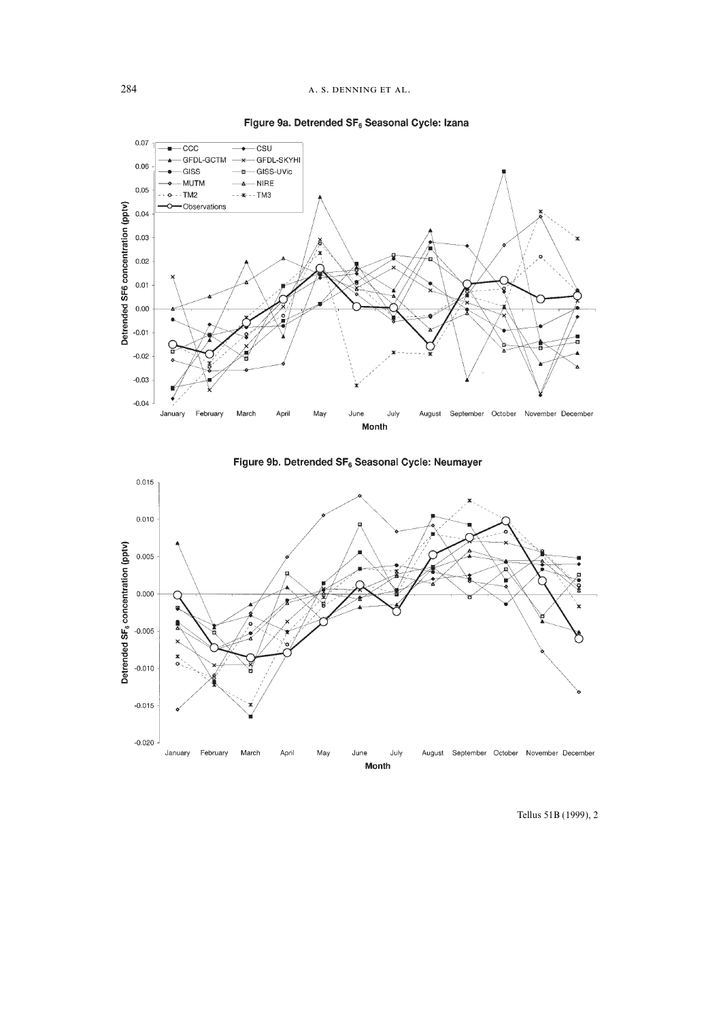





Figure 9b. Detrended SF<sub>6</sub> Seasonal Cycle: Neumayer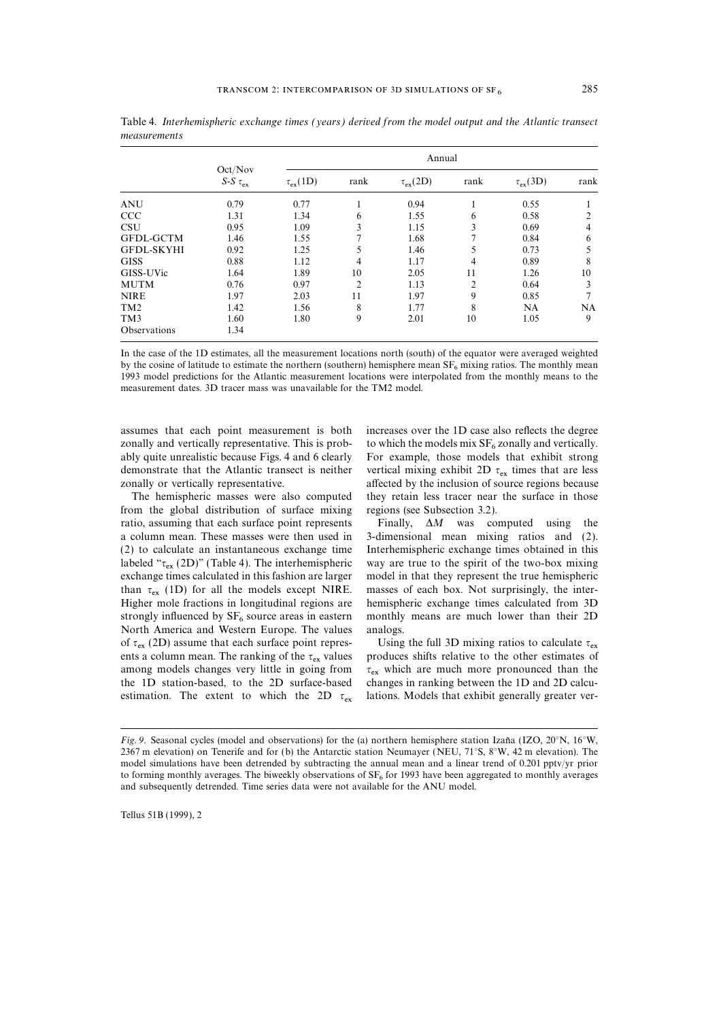|                     |                                | Annual          |                |                 |                |                     |      |  |  |  |  |
|---------------------|--------------------------------|-----------------|----------------|-----------------|----------------|---------------------|------|--|--|--|--|
|                     | Oct/Nov<br>S-S $\tau_{\rm ex}$ | $\tau_{ex}(1D)$ | rank           | $\tau_{ex}(2D)$ | rank           | $\tau_{\rm ex}(3D)$ | rank |  |  |  |  |
| <b>ANU</b>          | 0.79                           | 0.77            |                | 0.94            |                | 0.55                |      |  |  |  |  |
| <b>CCC</b>          | 1.31                           | 1.34            | 6              | 1.55            | 6              | 0.58                | 2    |  |  |  |  |
| <b>CSU</b>          | 0.95                           | 1.09            | 3              | 1.15            | 3              | 0.69                | 4    |  |  |  |  |
| <b>GFDL-GCTM</b>    | 1.46                           | 1.55            |                | 1.68            | 7              | 0.84                | 6    |  |  |  |  |
| <b>GFDL-SKYHI</b>   | 0.92                           | 1.25            | 5              | 1.46            | 5              | 0.73                |      |  |  |  |  |
| <b>GISS</b>         | 0.88                           | 1.12            | 4              | 1.17            | 4              | 0.89                | 8    |  |  |  |  |
| GISS-UVic           | 1.64                           | 1.89            | 10             | 2.05            | 11             | 1.26                | 10   |  |  |  |  |
| <b>MUTM</b>         | 0.76                           | 0.97            | $\overline{c}$ | 1.13            | $\overline{c}$ | 0.64                | 3    |  |  |  |  |
| <b>NIRE</b>         | 1.97                           | 2.03            | 11             | 1.97            | 9              | 0.85                | 7    |  |  |  |  |
| TM <sub>2</sub>     | 1.42                           | 1.56            | 8              | 1.77            | 8              | <b>NA</b>           | NA   |  |  |  |  |
| TM3                 | 1.60                           | 1.80            | 9              | 2.01            | 10             | 1.05                | 9    |  |  |  |  |
| <b>Observations</b> | 1.34                           |                 |                |                 |                |                     |      |  |  |  |  |

Table 4. Interhemispheric exchange times (years) derived from the model output and the Atlantic transect measurements

In the case of the 1D estimates, all the measurement locations north (south) of the equator were averaged weighted by the cosine of latitude to estimate the northern (southern) hemisphere mean  $SF<sub>6</sub>$  mixing ratios. The monthly mean 1993 model predictions for the Atlantic measurement locations were interpolated from the monthly means to the measurement dates. 3D tracer mass was unavailable for the TM2 model.

assumes that each point measurement is both increases over the 1D case also reflects the degree zonally and vertically representative. This is prob- to which the models mix  $SF<sub>6</sub>$  zonally and vertically.<br>ably quite unrealistic because Figs. 4 and 6 clearly For example, those models that exhibit strong

from the global distribution of surface mixing regions (see Subsection 3.2). ratio, assuming that each surface point represents Finally,  $\Delta M$  was computed using the labeled " $\tau_{ex}$  (2D)" (Table 4). The interhemispheric than  $\tau_{ex}$  (1D) for all the models except NIRE. Higher mole fractions in longitudinal regions are North America and Western Europe. The values of  $\tau_{\text{ex}}$  (2D) assume that each surface point repres-<br>by the full 3D mixing ratios to calculate  $\tau$ of  $\tau_{\text{ex}}$  (2D) assume that each surface point repres-<br>ents a column mean. The ranking of the  $\tau_{\text{ex}}$  values produces shifts relative to the other estimates of among models changes very little in going from estimation. The extent to which the 2D  $\tau_{ex}$ 

For example, those models that exhibit strong demonstrate that the Atlantic transect is neither vertical mixing exhibit 2D  $\tau_{ex}$  times that are less zonally or vertically representative.  $\blacksquare$  affected by the inclusion of source regions because The hemispheric masses were also computed they retain less tracer near the surface in those

a column mean. These masses were then used in 3-dimensional mean mixing ratios and (2). (2) to calculate an instantaneous exchange time Interhemispheric exchange times obtained in this labeled " $\tau_{ex}$  (2D)" (Table 4). The interhemispheric way are true to the spirit of the two-box mixing exchange times calculated in this fashion are larger model in that they represent the true hemispheric model in that they represent the true hemispheric masses of each box. Not surprisingly, the inter-<br>hemispheric exchange times calculated from 3D strongly influenced by  $SF_6$  source areas in eastern monthly means are much lower than their 2D<br>North America and Western Europe. The values analogs.

 $\tau_{ex}$  which are much more pronounced than the the 1D station-based, to the 2D surface-based changes in ranking between the 1D and 2D calculations. Models that exhibit generally greater ver-

Fig. 9. Seasonal cycles (model and observations) for the (a) northern hemisphere station Izaña (IZO,  $20^{\circ}$ N,  $16^{\circ}$ W, 2367 m elevation) on Tenerife and for (b) the Antarctic station Neumayer (NEU, 71°S, 8°W, 42 m elevation). The model simulations have been detrended by subtracting the annual mean and a linear trend of 0.201 pptv/yr prior to forming monthly averages. The biweekly observations of  $SF<sub>6</sub>$  for 1993 have been aggregated to monthly averages and subsequently detrended. Time series data were not available for the ANU model.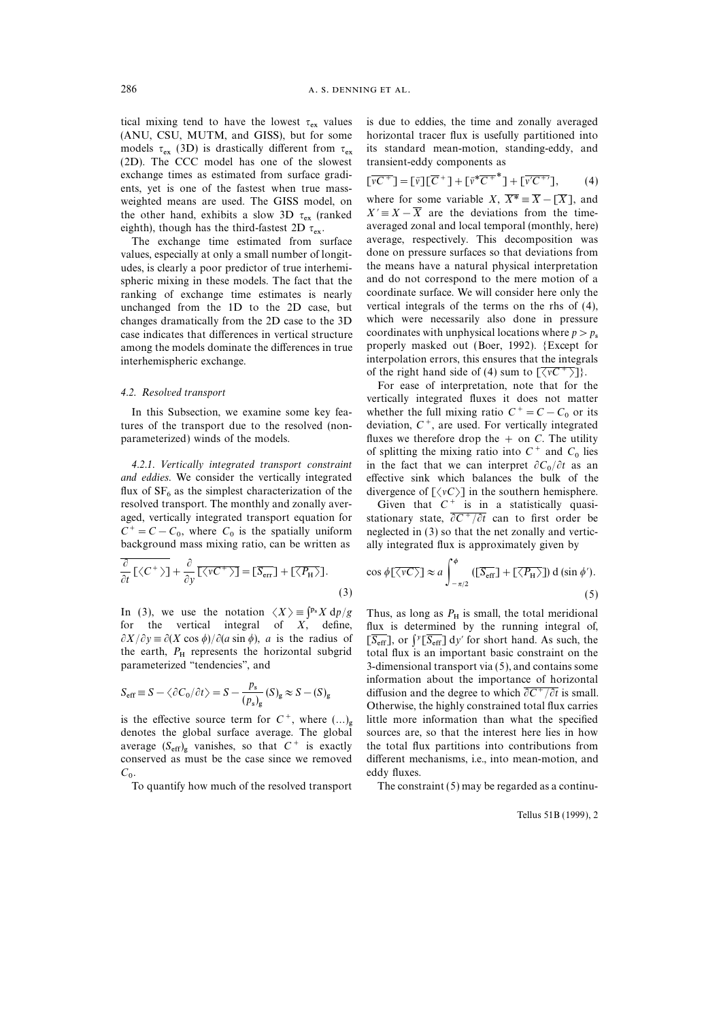tical mixing tend to have the lowest  $\tau_{ex}$  values tical mixing tend to have the lowest  $\tau_{ex}$  values is due to eddies, the time and zonally averaged (ANU, CSU, MUTM, and GISS), but for some horizontal tracer flux is usefully partitioned into models  $\tau_{\text{ex}}$  (3D) is drastically different from  $\tau$  $(2D)$ . The CCC model has one of the slowest exchange times as estimated from surface gradi-<br>ents, yet is one of the fastest when true mass-<br>weighted means are used. The GISS model, on where for some variable X,  $\overline{X^*} \equiv \overline{X} - [\overline{X}]$ , and weighted means are used. The GISS model, on where for some variable X,  $X^* \equiv X - [X]$ , and the other hand, exhibits a slow 3D  $\tau_{\text{max}}$  (ranked  $X' \equiv X - \overline{X}$  are the deviations from the timethe other hand, exhibits a slow 3D  $\tau_{\text{ex}}$  (ranked  $X' \equiv X - X$  are the deviations from the time-<br>exists the other hand, factor 3D a sweeped zonal and local temporal (monthly here)

values, especially at only a small number of longit-<br>udes is clearly a poor predictor of true interhemi-<br>the means have a natural physical interpretation udes, is clearly a poor predictor of true interhemi-<br>spheric mixing in these models. The fact that the and do not correspond to the mere motion of a spheric mixing in these models. The fact that the and do not correspond to the mere motion of a<br>ranking of exchange time estimates is nearly coordinate surface. We will consider here only the ranking of exchange time estimates is nearly coordinate surface. We will consider here only the unchanged from the 1D to the 2D case, but vertical integrals of the terms on the rhs of (4), unchanged from the 1D to the 2D case, but vertical integrals of the terms on the rhs of  $(4)$ , changes dramatically from the 2D case to the 3D which were necessarily also done in pressure changes dramatically from the 2D case to the 3D case indicates that differences in vertical structure<br>among the models dominate the differences in true interhemispheric exchange.  $\blacksquare$  interpolation errors, this ensures that the integrals

4.2.1. Vertically integrated transport constraint and eddies. We consider the vertically integrated flux of  $SF<sub>6</sub>$  as the simplest characterization of the divergence of  $[\langle vC \rangle]$  in the southern hemisphere.<br>resolved transport. The monthly and zonally aver-<br>Given that  $C^+$  is in a statistically quasiresolved transport. The monthly and zonally averaged, vertically integrated transport equation for stationary state,  $\overline{\partial C^+/\partial t}$  can to first order be  $C^+=C-C_0$ , where  $C_0$  is the spatially uniform background mass mixing ratio, can be written as

$$
\frac{\partial}{\partial t} \left[ \langle C^+ \rangle \right] + \frac{\partial}{\partial y} \left[ \langle v C^+ \rangle \right] = \left[ \overline{S_{\text{err}}} \right] + \left[ \overline{\langle P_H \rangle} \right].
$$
\n(3)

In (3), we use the notation  $\langle X \rangle = \int P^s$ In (3), we use the notation  $\langle X \rangle = \int^{p_s} X dp/g$  Thus, as long as  $P_H$  is small, the total meridional for the vertical integral of X, define, flux is determined by the running integral of  $\partial X/\partial y \equiv \partial (X \cos \phi)/\partial (a \sin \phi)$ , a is the radius of the earth,  $P_H$  represents the horizontal subgrid total flux is an important basic constraint on the parameterized "tendencies", and  $\frac{3 \text{-dimensional transport via (5), and contains some}}{3 \cdot \frac{3 \cdot 3}{2 \cdot \frac{3}{2}} \cdot \frac{3}{2}}$ 

$$
S_{\text{eff}} \equiv S - \langle \partial C_0 / \partial t \rangle = S - \frac{p_s}{(p_s)_g} (S)_g \approx S - (S)_g
$$

eddy fluxes.<br>To quantify how much of the resolved transport The const  $C_0$ .

horizontal tracer flux is usefully partitioned into its standard mean-motion, standing-eddy, and transient-eddy components as

$$
\left[\overline{v}\overline{C}^{+}\right] = \left[\overline{v}\right]\left[\overline{C}^{+}\right] + \left[\overline{v}^{*}\overline{C}^{+}\right] + \left[\overline{v}'\overline{C}^{+}\right],\tag{4}
$$

eighth), though has the third-fastest 2D  $\tau_{\text{ex}}$  averaged zonal and local temporal (monthly, here)<br>The exchange time estimated from surface average, respectively. This decomposition was average, respectively. This decomposition was done on pressure surfaces so that deviations from coordinates with unphysical locations where  $p > p_s$ properly masked out (Boer, 1992). {Except for of the right hand side of (4) sum to  $[\sqrt{\sqrt{C^+}}]$ .<br>For ease of interpretation, note that for the

For ease of interpretation, note that for the 4.2. Resolved transport vertically integrated fluxes it does not matter In this Subsection, we examine some key fea- whether the full mixing ratio  $C^+ = C - C_0$  or its tures of the transport due to the resolved (non- deviation,  $C^+$ , are used. For vertically integrated deviation,  $C^+$ , are used. For vertically integrated parameterized) winds of the models. **fluxes** we therefore drop the  $+$  on C. The utility of splitting the mixing ratio into  $C^+$  and  $C_0$  lies in the fact that we can interpret  $\partial C_0/\partial t$  as an effective sink which balances the bulk of the

neglected in  $(3)$  so that the net zonally and vertic-<br>ally integrated flux is approximately given by

$$
\frac{1}{\ln \lambda}.
$$
 cos  $\phi \left[ \overline{\langle v C \rangle} \right] \approx a \int_{-\pi/2}^{\phi} \left( \overline{\left[ S_{\text{eff}} \right]} + \overline{\left[ \overline{\langle P_H \rangle} \right]} \right) d \left( \sin \phi' \right).$  (3)

flux is determined by the running integral of, eff], or  $\int y[\overline{S}_{\text{eff}}] dy'$  for short hand. As such, the  $3$ -dimensional transport via  $(5)$ , and contains some information about the importance of horizontal diffusion and the degree to which  $\frac{\partial C^+}{\partial t}$  is small. Otherwise, the highly constrained total flux carries is the effective source term for  $C^+$ , where  $(...)_{g}$  little more information than what the specified denotes the global surface average. The global sources are, so that the interest here lies in how average  $(S_{\text{eff}})_{\text{g}}$  vanishes, so that  $C^+$  is exactly the total flux partitions into contributions from conserved as must be the case since we removed different mechanisms, i.e., into mean-motion, and

The constraint  $(5)$  may be regarded as a continu-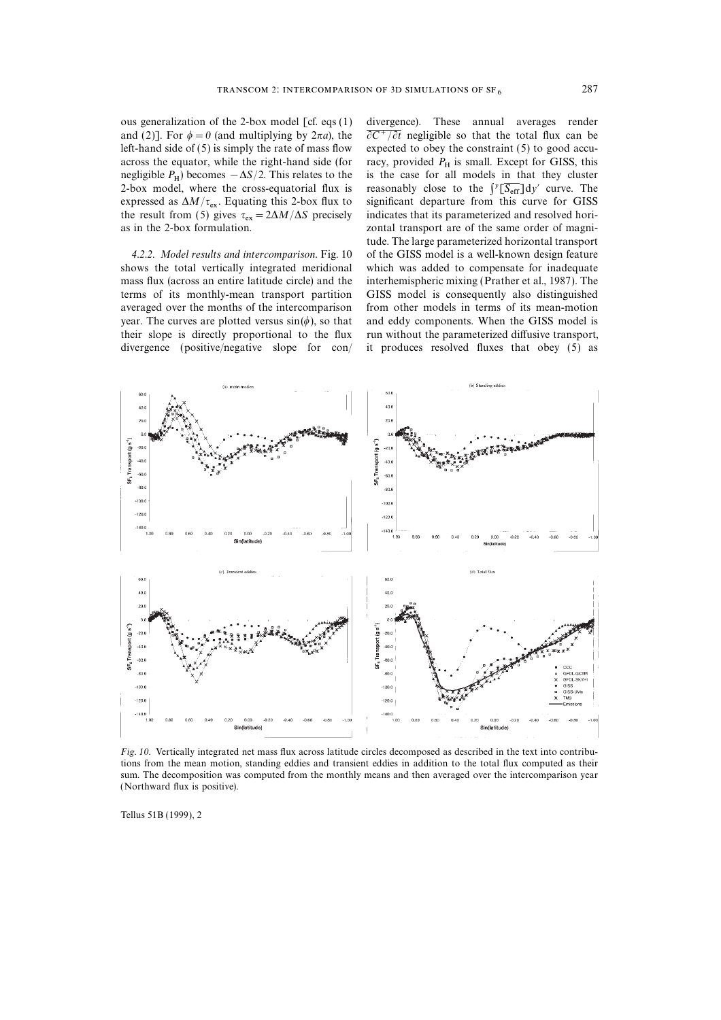ous generalization of the 2-box model [cf. eqs (1) divergence). These annual averages render and (2)]. For  $\phi = 0$  (and multiplying by 2*na*), the  $\frac{\partial C^+}{\partial t}$  negligible so that the total flux can be left-hand side of (5) is simply the rate of mass flow expected to obey the constraint (5) to good accuacross the equator, while the right-hand side (for in racy, provided  $P_H$  is small. Except for GISS, this negligible  $P_H$ ) becomes  $-\Delta S/2$ . This relates to the 2-box model, where the cross-equatorial flux is 2-box model, where the cross-equatorial flux is **reasonably close to the**  $\int_{\mathcal{E}}^{\mathcal{E}} [\overline{S}_{\text{eff}}] dy'$  curve. The expressed as  $\Delta M/\tau_{\rm ex}$ . Equating this 2-box flux to the result from (5) gives  $\tau_{ex} = 2\Delta M/\Delta S$  precisely as in the 2-box formulation.

shows the total vertically integrated meridional which was added to compensate for inadequate mass flux (across an entire latitude circle) and the interhemispheric mixing (Prather et al., 1987). The terms of its monthly-mean transport partition GISS model is consequently also distinguished averaged over the months of the intercomparison from other models in terms of its mean-motion year. The curves are plotted versus  $sin(\phi)$ , so that and eddy components. When the GISS model is their slope is directly proportional to the flux run without the parameterized diffusive transport, divergence (positive/negative slope for con/ it produces resolved fluxes that obey (5) as

is the case for all models in that they cluster significant departure from this curve for GISS<br>indicates that its parameterized and resolved horizontal transport are of the same order of magnitude. The large parameterized horizontal transport 4.2.2. Model results and intercomparison. Fig. 10 of the GISS model is a well-known design feature



Fig. 10. Vertically integrated net mass flux across latitude circles decomposed as described in the text into contributions from the mean motion, standing eddies and transient eddies in addition to the total flux computed as their sum. The decomposition was computed from the monthly means and then averaged over the intercomparison year (Northward flux is positive).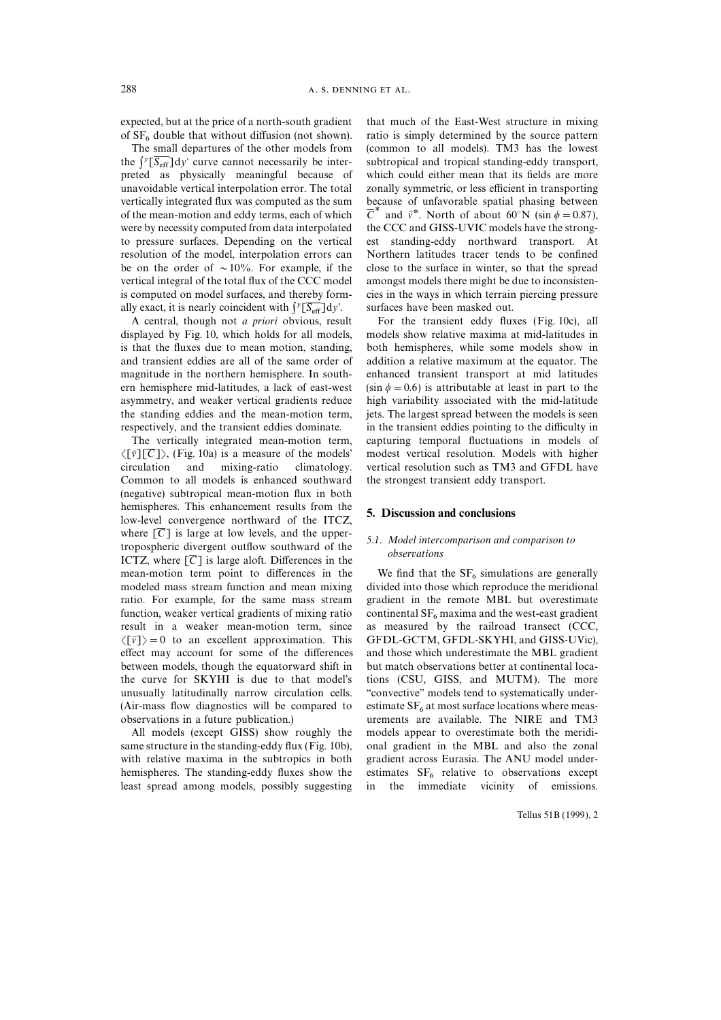expected, but at the price of a north-south gradient that much of the East-West structure in mixing

the  $\int^y[\overline{S}_{\text{eff}}]dy'$  curve cannot necessarily be inter-<br>preted as physically meaningful because of which could either mean that its fields are more unavoidable vertical interpolation error. The total zonally symmetric, or less efficient in transporting vertically integrated flux was computed as the sum because of unfavorable spatial phasing between of the mean-motion and eddy terms, each of which  $\overline{C}^*$  and  $\overline{v}^*$ . North of about 60°N (sin  $\phi = 0.87$ ), were by necessity computed from data interpolated the CCC and GISS-UVIC models have the strongto pressure surfaces. Depending on the vertical est standing-eddy northward transport. At resolution of the model, interpolation errors can Northern latitudes tracer tends to be confined be on the order of  $\sim 10\%$ . For example, if the close to the surface in winter, so that the spread vertical integral of the total flux of the CCC model amongst models there might be due to inconsistenis computed on model surfaces, and thereby form- cies in the ways in which terrain piercing pressure ally exact, it is nearly coincident with  $\sqrt{\frac{y}{S_{\text{eff}}}}$  dy'. effinition is nearly coincident with  $\int^y [\overline{S}_{\text{eff}}]dy'$ . surfaces have been masked out.<br>A central, though not *a priori* obvious, result For the transient eddy flux

displayed by Fig. 10, which holds for all models, models show relative maxima at mid-latitudes in is that the fluxes due to mean motion, standing, both hemispheres, while some models show in and transient eddies are all of the same order of addition a relative maximum at the equator. The magnitude in the northern hemisphere. In south- enhanced transient transport at mid latitudes ern hemisphere mid-latitudes, a lack of east-west (sin  $\phi = 0.6$ ) is attributable at least in part to the asymmetry, and weaker vertical gradients reduce high variability associated with the mid-latitude the standing eddies and the mean-motion term, jets. The largest spread between the models is seen respectively, and the transient eddies dominate. in the transient eddies pointing to the difficulty in

 $\langle [\bar{v}][\bar{C}]\rangle$ , (Fig. 10a) is a measure of the models' modest vertical resolution. Models with higher circulation and mixing-ratio climatology, vertical resolution such as TM3 and GFDL have circulation and mixing-ratio climatology. vertical resolution such as TM3 and GFDL have Common to all models is enhanced southward the strongest transient eddy transport. (negative) subtropical mean-motion flux in both hemispheres. This enhancement results from the 5. Discussion and conclusions low-level convergence northward of the ITCZ, where  $\overline{[C]}$  is large at low levels, and the upper-<br>tropospheric divergent outflow southward of the  $\overline{ICTZ}$ , where  $\overline{[C]}$  is large aloft. Differences in the *observations* mean-motion term point to differences in the We find that the  $SF<sub>6</sub>$  simulations are generally modeled mass stream function and mean mixing divided into those which reproduce the meridional ratio. For example, for the same mass stream gradient in the remote MBL but overestimate function, weaker vertical gradients of mixing ratio continental  $SF<sub>6</sub>$  maxima and the west-east gradient result in a weaker mean-motion term, since as measured by the railroad transect (CCC,  $\langle \bar{v} \rangle = 0$  to an excellent approximation. This GFDL-GCTM, GFDL-SKYHI, and GISS-UVic), effect may account for some of the differences and those which underestimate the MBL gradient between models, though the equatorward shift in but match observations better at continental locathe curve for SKYHI is due to that model's tions (CSU, GISS, and MUTM). The more unusually latitudinally narrow circulation cells. ''convective'' models tend to systematically under- (Air-mass flow diagnostics will be compared to estimate  $SF<sub>6</sub>$  at most surface locations where meas-<br>observations in a future publication.) whenever are available. The NIRE and TM3

same structure in the standing-eddy flux (Fig. 10b), onal gradient in the MBL and also the zonal with relative maxima in the subtropics in both gradient across Eurasia. The ANU model underhemispheres. The standing-eddy fluxes show the estimates  $SF<sub>6</sub>$  relative to observations except least spread among models, possibly suggesting in the immediate vicinity of emissions. least spread among models, possibly suggesting

of  $SF<sub>6</sub>$  double that without diffusion (not shown). ratio is simply determined by the source pattern The small departures of the other models from (common to all models). TM3 has the lowest (common to all models). TM3 has the lowest which could either mean that its fields are more

For the transient eddy fluxes (Fig. 10c), all The vertically integrated mean-motion term, capturing temporal fluctuations in models of

divided into those which reproduce the meridional as measured by the railroad transect (CCC, urements are available. The NIRE and TM3 All models (except GISS) show roughly the models appear to overestimate both the meridi-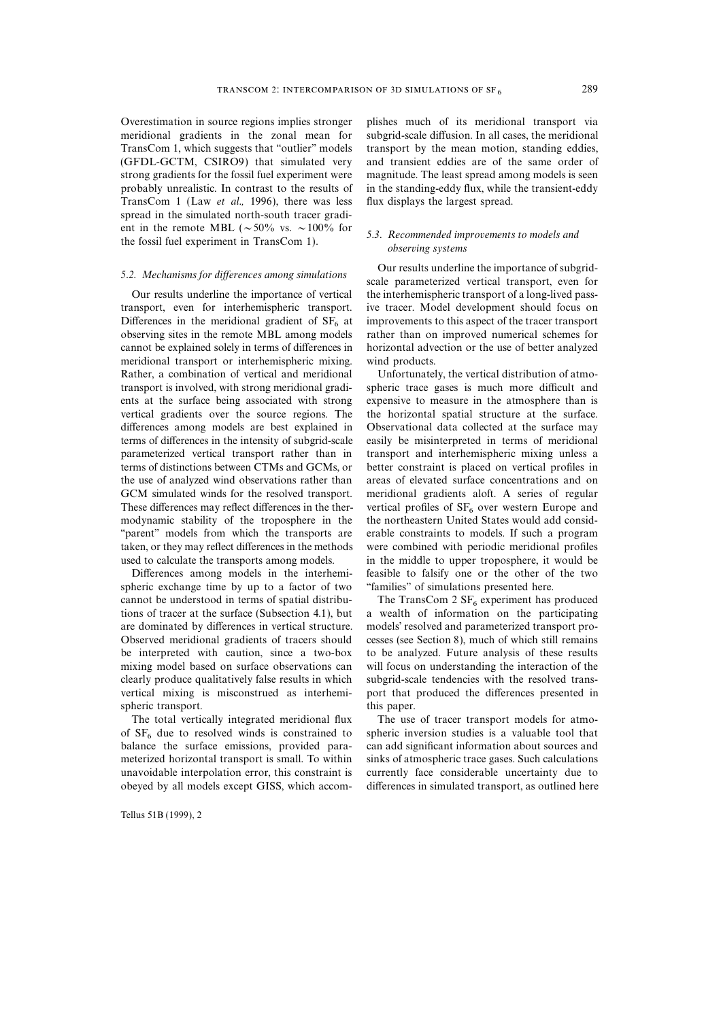Overestimation in source regions implies stronger plishes much of its meridional transport via meridional gradients in the zonal mean for subgrid-scale diffusion. In all cases, the meridional TransCom 1, which suggests that "outlier" models transport by the mean motion, standing eddies, (GFDL-GCTM, CSIRO9) that simulated very and transient eddies are of the same order of strong gradients for the fossil fuel experiment were magnitude. The least spread among models is seen probably unrealistic. In contrast to the results of in the standing-eddy flux, while the transient-eddy TransCom 1 (Law et al., 1996), there was less flux displays the largest spread. spread in the simulated north-south tracer gradient in the remote MBL ( $\sim$  50% vs.  $\sim$  100% for 5.3. Recommended improvements to models and the fossil fuel experiment in TransCom 1).

transport, even for interhemispheric transport. ive tracer. Model development should focus on Differences in the meridional gradient of  $SF<sub>6</sub>$  at improvements to this aspect of the tracer transport observing sites in the remote MBL among models rather than on improved numerical schemes for cannot be explained solely in terms of differences in horizontal advection or the use of better analyzed meridional transport or interhemispheric mixing. wind products. Rather, a combination of vertical and meridional Unfortunately, the vertical distribution of atmotransport is involved, with strong meridional gradi- spheric trace gases is much more difficult and ents at the surface being associated with strong expensive to measure in the atmosphere than is vertical gradients over the source regions. The the horizontal spatial structure at the surface. differences among models are best explained in Observational data collected at the surface may terms of differences in the intensity of subgrid-scale easily be misinterpreted in terms of meridional parameterized vertical transport rather than in transport and interhemispheric mixing unless a terms of distinctions between CTMs and GCMs, or better constraint is placed on vertical profiles in the use of analyzed wind observations rather than areas of elevated surface concentrations and on GCM simulated winds for the resolved transport. meridional gradients aloft. A series of regular These differences may reflect differences in the ther-<br>wertical profiles of  $SF<sub>6</sub>$  over western Europe and<br>modynamic stability of the troposphere in the northeastern United States would add consid-"parent" models from which the transports are erable constraints to models. If such a program taken, or they may reflect differences in the methods were combined with periodic meridional profiles used to calculate the transports among models. in the middle to upper troposphere, it would be

spheric exchange time by up to a factor of two ''families'' of simulations presented here. cannot be understood in terms of spatial distribu-<br>tions of tracer at the surface (Subsection 4.1), but a wealth of information on the participating are dominated by differences in vertical structure. models' resolved and parameterized transport pro-Observed meridional gradients of tracers should cesses (see Section 8), much of which still remains be interpreted with caution, since a two-box to be analyzed. Future analysis of these results mixing model based on surface observations can will focus on understanding the interaction of the clearly produce qualitatively false results in which subgrid-scale tendencies with the resolved transvertical mixing is misconstrued as interhemi- port that produced the differences presented in spheric transport. this paper.

of  $SF<sub>6</sub>$  due to resolved winds is constrained to spheric inversion studies is a valuable tool that balance the surface emissions, provided para-can add significant information about sources and balance the surface emissions, provided parameterized horizontal transport is small. To within sinks of atmospheric trace gases. Such calculations unavoidable interpolation error, this constraint is currently face considerable uncertainty due to obeyed by all models except GISS, which accom- differences in simulated transport, as outlined here

Tellus 51B (1999), 2

Our results underline the importance of subgrid- 5.2. Mechanisms for di*V*erences among simulations scale parameterized vertical transport, even for Our results underline the importance of vertical the interhemispheric transport of a long-lived passrather than on improved numerical schemes for

the northeastern United States would add consid-Differences among models in the interhemi- feasible to falsify one or the other of the two

a wealth of information on the participating

The total vertically integrated meridional flux The use of tracer transport models for atmo-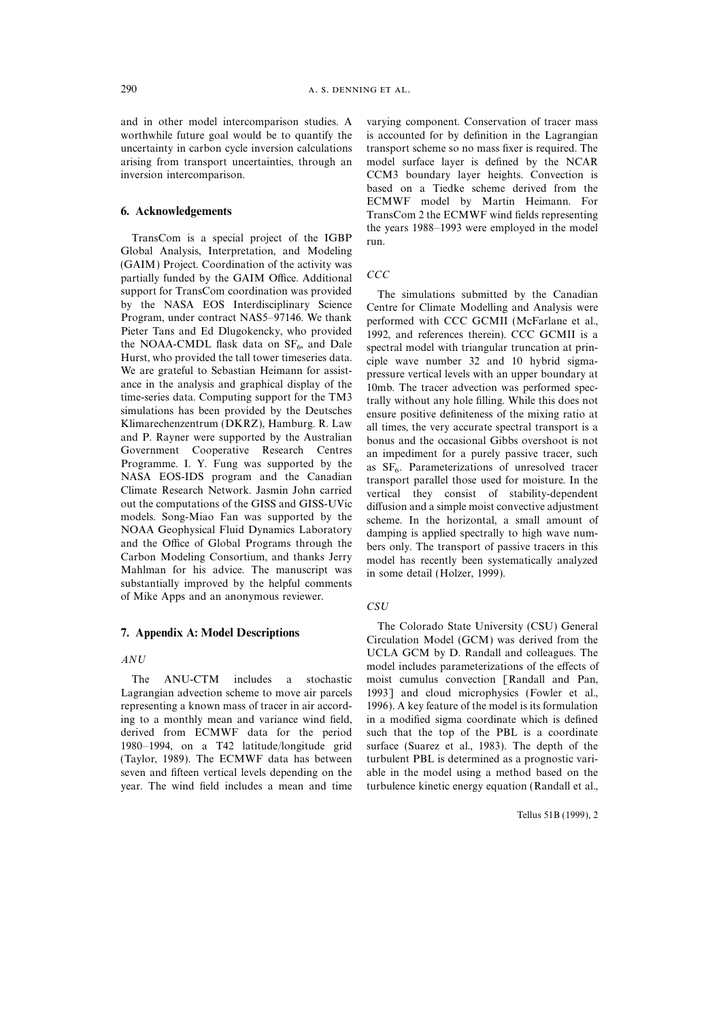worthwhile future goal would be to quantify the is accounted for by definition in the Lagrangian uncertainty in carbon cycle inversion calculations transport scheme so no mass fixer is required. The arising from transport uncertainties, through an model surface layer is defined by the NCAR

(GAIM) Project. Coordination of the activity was partially funded by the GAIM Office. Additional CCC support for TransCom coordination was provided<br>by the Canadian<br>by the NASA EOS Interdisciplinary Science<br>Program, under contract NAS5–97146. We thank<br>Pieter Tans and Ed Dlugokencky, who provided<br>performed with CCC GCMII (M the NOAA-CMDL flask data on  $SF_6$ , and Dale<br>Hurst, who provided the tall tower timeseries data.<br>We are grateful to Sebastian Heimann for assist-<br>we number 32 and 10 hybrid sigma-<br>We are grateful to Sebastian Heimann for a Government Cooperative Research Centres an impediment for a purely passive tracer, such Programme. I. Y. Fung was supported by the as  $SF_6$ . Parameterizations of unresolved tracer NASA FOS-IDS program and the Canadian exp NOAA Geophysical Fluid Dynamics Laboratory<br>amping is applied spectrally to high wave num-<br>and the Office of Global Programs through the<br>carbon Modeling Consortium, and thanks Jerry<br>model has recently been systematically an of Mike Apps and an anonymous reviewer.  $CSU$ 

Lagrangian advection scheme to move air parcels 1993] and cloud microphysics (Fowler et al., representing a known mass of tracer in air accord- 1996). A key feature of the model is its formulation ing to a monthly mean and variance wind field, in a modified sigma coordinate which is defined derived from ECMWF data for the period such that the top of the PBL is a coordinate 1980–1994, on a T42 latitude/longitude grid surface (Suarez et al., 1983). The depth of the (Taylor, 1989). The ECMWF data has between turbulent PBL is determined as a prognostic variseven and fifteen vertical levels depending on the able in the model using a method based on the year. The wind field includes a mean and time turbulence kinetic energy equation (Randall et al.,

and in other model intercomparison studies. A varying component. Conservation of tracer mass inversion intercomparison. CCM3 boundary layer heights. Convection is based on a Tiedke scheme derived from the **6. Acknowledgements** ECMWF model by Martin Heimann. For FransCom 2 the ECMWF wind fields representing the years 1988–1993 were employed in the model<br>Global Analysis, Interpretation, and Modeling<br>Modeling

NASA EOS-IDS program and the Canadian<br>
transport parallel those used for moisture. In the<br>
Climate Research Network. Jasmin John carried<br>
out the computations of the GISS and GISS-UVic<br>
diffusion and a simple moist convect

7. Appendix A: Model Descriptions The Colorado State University (CSU) General Circulation Model (GCM) was derived from the NU UCLA GCM by D. Randall and colleagues. The model includes parameterizations of the effects of The ANU-CTM includes a stochastic moist cumulus convection [Randall and Pan, surface (Suarez et al., 1983). The depth of the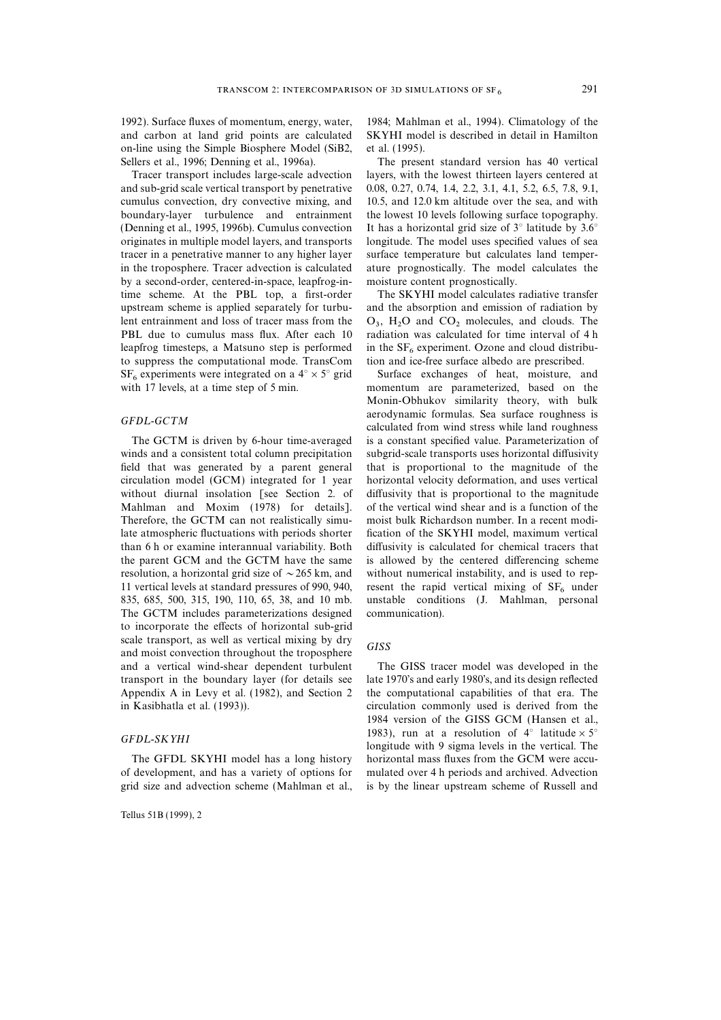on-line using the Simple Biosphere Model (SiB2, et al. (1995). Sellers et al., 1996; Denning et al., 1996a). The present standard version has 40 vertical

and sub-grid scale vertical transport by penetrative 0.08, 0.27, 0.74, 1.4, 2.2, 3.1, 4.1, 5.2, 6.5, 7.8, 9.1, cumulus convection, dry convective mixing, and 10.5, and 12.0 km altitude over the sea, and with boundary-layer turbulence and entrainment the lowest 10 levels following surface topography. (Denning et al., 1995, 1996b). Cumulus convection It has a horizontal grid size of 3° latitude by 3.6° originates in multiple model layers, and transports longitude. The model uses specified values of sea tracer in a penetrative manner to any higher layer surface temperature but calculates land temperin the troposphere. Tracer advection is calculated ature prognostically. The model calculates the by a second-order, centered-in-space, leapfrog-in- moisture content prognostically. time scheme. At the PBL top, a first-order The SKYHI model calculates radiative transfer upstream scheme is applied separately for turbu- and the absorption and emission of radiation by lent entrainment and loss of tracer mass from the  $O_3$ , H<sub>2</sub>O and CO<sub>2</sub> molecules, and clouds. The lent entrainment and loss of tracer mass from the  $O_3$ ,  $H_2O$  and  $CO_2$  molecules, and clouds. The PBL due to cumulus mass flux. After each 10 radiation was calculated for time interval of 4 h leapfrog timesteps, a Matsuno step is performed in the  $SF<sub>6</sub>$  experiment. Ozone and cloud distribu-<br>to suppress the computational mode. TransCom ion and ice-free surface albedo are prescribed. to suppress the computational mode. TransCom  $SF<sub>6</sub> experiments were integrated on a 4° × 5° grid$  Surface exchanges of heat, moisture, and with 17 levels, at a time step of 5 min. momentum are parameterized, based on the

winds and a consistent total column precipitation subgrid-scale transports uses horizontal diffusivity field that was generated by a parent general that is proportional to the magnitude of the circulation model (GCM) integrated for 1 year horizontal velocity deformation, and uses vertical without diurnal insolation [see Section 2. of diffusivity that is proportional to the magnitude Mahlman and Moxim (1978) for details]. of the vertical wind shear and is a function of the Therefore, the GCTM can not realistically simu- moist bulk Richardson number. In a recent modilate atmospheric fluctuations with periods shorter fication of the SKYHI model, maximum vertical than 6 h or examine interannual variability. Both diffusivity is calculated for chemical tracers that the parent GCM and the GCTM have the same is allowed by the centered differencing scheme resolution, a horizontal grid size of  $\sim$  265 km, and without numerical instability, and is used to rep-11 vertical levels at standard pressures of 990, 940, resent the rapid vertical mixing of  $SF<sub>6</sub>$  under 835, 685, 500, 315, 190, 110, 65, 38, and 10 mb. unstable conditions (J. Mahlman, personal The GCTM includes parameterizations designed communication). to incorporate the effects of horizontal sub-grid scale transport, as well as vertical mixing by dry GISS and moist convection throughout the troposphere and a vertical wind-shear dependent turbulent The GISS tracer model was developed in the transport in the boundary layer (for details see late 1970's and early 1980's, and its design reflected

grid size and advection scheme (Mahlman et al., is by the linear upstream scheme of Russell and

Tellus 51B (1999), 2

1992). Surface fluxes of momentum, energy, water, 1984; Mahlman et al., 1994). Climatology of the and carbon at land grid points are calculated SKYHI model is described in detail in Hamilton

Tracer transport includes large-scale advection layers, with the lowest thirteen layers centered at

momentum are parameterized, based on the Monin-Obhukov similarity theory, with bulk GFDL-GCTM aerodynamic formulas. Sea surface roughness is calculated from wind stress while land roughness The GCTM is driven by 6-hour time-averaged is a constant specified value. Parameterization of unstable conditions (J. Mahlman, personal

Appendix A in Levy et al. (1982), and Section 2 the computational capabilities of that era. The in Kasibhatla et al. (1993)). circulation commonly used is derived from the 1984 version of the GISS GCM (Hansen et al., 1983), run at a resolution of  $4^{\circ}$  latitude  $\times 5^{\circ}$ <br>longitude with 9 sigma levels in the vertical. The The GFDL SKYHI model has a long history horizontal mass fluxes from the GCM were accuof development, and has a variety of options for mulated over 4 h periods and archived. Advection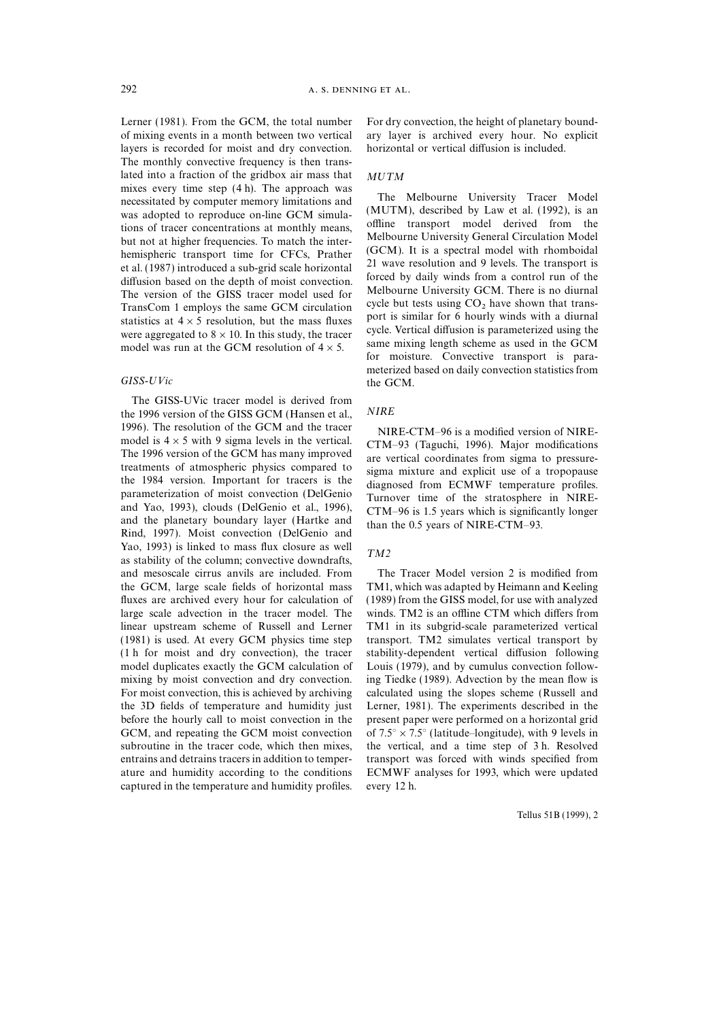of mixing events in a month between two vertical ary layer is archived every hour. No explicit layers is recorded for moist and dry convection. horizontal or vertical diffusion is included. The monthly convective frequency is then translated into a fraction of the gridbox air mass that  $MUTM$  mixes every time step (4 h). The approach was mixes every time step (4 h). The approach was<br>necessitated by computer memory limitations and<br>was adopted to reproduce on-line GCM simula-<br>tions of tracer concentrations at monthly means,<br>but not at higher frequencies. To The version of the GISS tracer model used for<br>TransCom 1 employs the same GCM circulation<br>of the mass fluxes expected to the mass fluxes<br>statistics at  $4 \times 5$  resolution, but the mass fluxes<br>were aggregated to  $8 \times 10$ . I model was run at the GCM resolution of  $4 \times 5$ .

The GISS-UVic tracer model is derived from the 1996 version of the GISS GCM (Hansen et al., NIRE 1996). The resolution of the GCM and the tracer NIRE-CTM–96 is a modified version of NIRE-<br>model is  $4 \times 5$  with 9 sigma levels in the vertical. CTM 03 (Taguchi 1996). Major modifications model is  $4 \times 5$  with 9 sigma levels in the vertical.<br>The 1996 version of the GCM has many improved<br>treatments of atmospheric physics compared to<br>the 1984 version. Important for tracers is the<br>parameterization of moist co Yao, 1993) is linked to mass flux closure as well as stability of the column; convective downdrafts, and mesoscale cirrus anvils are included. From The Tracer Model version 2 is modified from the GCM, large scale fields of horizontal mass TM1, which was adapted by Heimann and Keeling fluxes are archived every hour for calculation of (1989) from the GISS model, for use with analyzed large scale advection in the tracer model. The winds. TM2 is an offline CTM which differs from linear upstream scheme of Russell and Lerner TM1 in its subgrid-scale parameterized vertical (1981) is used. At every GCM physics time step transport. TM2 simulates vertical transport by (1 h for moist and dry convection), the tracer stability-dependent vertical diffusion following model duplicates exactly the GCM calculation of Louis (1979), and by cumulus convection followmixing by moist convection and dry convection. ing Tiedke (1989). Advection by the mean flow is For moist convection, this is achieved by archiving calculated using the slopes scheme (Russell and the 3D fields of temperature and humidity just Lerner, 1981). The experiments described in the before the hourly call to moist convection in the present paper were performed on a horizontal grid GCM, and repeating the GCM moist convection of  $7.5^{\circ} \times 7.5^{\circ}$  (latitude–longitude), with 9 levels in subroutine in the tracer code, which then mixes, the vertical, and a time step of 3 h. Resolved entrains and detrains tracers in addition to temper- transport was forced with winds specified from ature and humidity according to the conditions ECMWF analyses for 1993, which were updated captured in the temperature and humidity profiles. every 12 h.

Lerner (1981). From the GCM, the total number For dry convection, the height of planetary bound-

for moisture. Convective transport is parameterized based on daily convection statistics from  $GISS-UVic$  the  $GCM$ .

the vertical, and a time step of 3 h. Resolved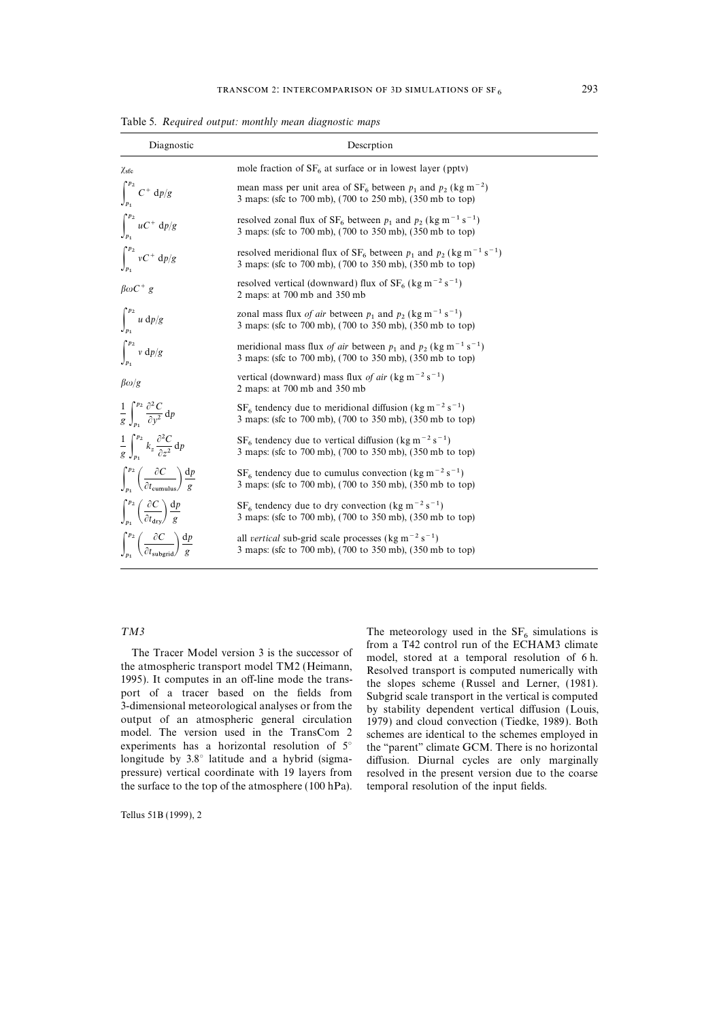| Diagnostic                                                                                             | Descrption                                                                                                                                                    |
|--------------------------------------------------------------------------------------------------------|---------------------------------------------------------------------------------------------------------------------------------------------------------------|
| $\chi_{\rm sfc}$                                                                                       | mole fraction of $SF_6$ at surface or in lowest layer (pptv)                                                                                                  |
| $\int_{a}^{p_2} C^+ \, \mathrm{d}p/g$                                                                  | mean mass per unit area of $SF_6$ between $p_1$ and $p_2$ (kg m <sup>-2</sup> )<br>3 maps: (sfc to 700 mb), (700 to 250 mb), (350 mb to top)                  |
| $\int_{0}^{p_2} uC^+ \, \mathrm{d}p/g$                                                                 | resolved zonal flux of $SF_6$ between $p_1$ and $p_2$ (kg m <sup>-1</sup> s <sup>-1</sup> )<br>3 maps: (sfc to 700 mb), (700 to 350 mb), (350 mb to top)      |
| $\int_{\eta}^{p_2} v C^+ \, \mathrm{d}p/g$                                                             | resolved meridional flux of $SF_6$ between $p_1$ and $p_2$ (kg m <sup>-1</sup> s <sup>-1</sup> )<br>3 maps: (sfc to 700 mb), (700 to 350 mb), (350 mb to top) |
| $\beta \omega C^+ g$                                                                                   | resolved vertical (downward) flux of $SF_6$ (kg m <sup>-2</sup> s <sup>-1</sup> )<br>2 maps: at $700$ mb and $350$ mb                                         |
| $\int_{a}^{p_2} u \, \mathrm{d}p/g$                                                                    | zonal mass flux <i>of air</i> between $p_1$ and $p_2$ (kg m <sup>-1</sup> s <sup>-1</sup> )<br>3 maps: (sfc to 700 mb), (700 to 350 mb), (350 mb to top)      |
| $\int_{r}^{p_2} v \, dp/g$                                                                             | meridional mass flux of air between $p_1$ and $p_2$ (kg m <sup>-1</sup> s <sup>-1</sup> )<br>3 maps: (sfc to 700 mb), (700 to 350 mb), (350 mb to top)        |
| $\beta\omega/g$                                                                                        | vertical (downward) mass flux of air (kg m <sup>-2</sup> s <sup>-1</sup> )<br>2 maps: at $700$ mb and $350$ mb                                                |
| $\frac{1}{g} \int_{r_1}^{p_2} \frac{\partial^2 C}{\partial y^2} dp$                                    | $SF_6$ tendency due to meridional diffusion (kg m <sup>-2</sup> s <sup>-1</sup> )<br>3 maps: (sfc to 700 mb), (700 to 350 mb), (350 mb to top)                |
| $\frac{1}{g} \int_{r_1}^{p_2} k_z \frac{\partial^2 C}{\partial z^2} dp$                                | $SF6$ tendency due to vertical diffusion (kg m <sup>-2</sup> s <sup>-1</sup> )<br>3 maps: (sfc to 700 mb), (700 to 350 mb), (350 mb to top)                   |
| $\int_{n}^{p_2} \left( \frac{\partial C}{\partial t_{\text{cumulus}}} \right) \frac{\mathrm{d}p}{g}$   | $SF_6$ tendency due to cumulus convection (kg m <sup>-2</sup> s <sup>-1</sup> )<br>3 maps: (sfc to 700 mb), (700 to 350 mb), (350 mb to top)                  |
| $\int_{p_1}^{p_2} \left(\frac{\partial C}{\partial t_{\text{dry}}}\right) \frac{\mathrm{d}p}{g}$       | $SF_6$ tendency due to dry convection (kg m <sup>-2</sup> s <sup>-1</sup> )<br>3 maps: (sfc to 700 mb), (700 to 350 mb), (350 mb to top)                      |
| $\int_{p_1}^{p_2} \left( \frac{\partial C}{\partial t_{\text{subgrid}}} \right) \frac{\mathrm{d}p}{g}$ | all vertical sub-grid scale processes (kg m <sup>-2</sup> s <sup>-1</sup> )<br>3 maps: (sfc to 700 mb), (700 to 350 mb), (350 mb to top)                      |

Table 5. Required output: monthly mean diagnostic maps

the surface to the top of the atmosphere (100 hPa). temporal resolution of the input fields.

Tellus 51B (1999), 2

 $T M3$  The meteorology used in the  $SF<sub>6</sub>$  simulations is from a T42 control run of the ECHAM3 climate<br>model, stored at a temporal resolution of 6 h. The Tracer Model version 3 is the successor of model, stored at a temporal resolution of 6 h.<br>the atmospheric transport model TM2 (Heimann, Resolved transport is computed numerically with<br>1995). It computes in an off-line 3-dimensional meteorological analyses or from the  $\frac{1}{979}$  by stability dependent vertical diffusion (Louis, output of an atmospheric general circulation 1979) and cloud convection (Tiedke, 1989). Both model. The versi model. The version used in the TransCom 2 schemes are identical to the schemes employed in experiments has a horizontal resolution of  $5^{\circ}$  the "parent" climate GCM. There is no horizontal experiments has a horizontal resolution of  $5^\circ$  the "parent" climate GCM. There is no horizontal longitude by  $3.8^\circ$  latitude and a hybrid (sigma-<br>diffusion. Diurnal cycles are only marginally diffusion. Diurnal cycles are only marginally pressure) vertical coordinate with 19 layers from resolved in the present version due to the coarse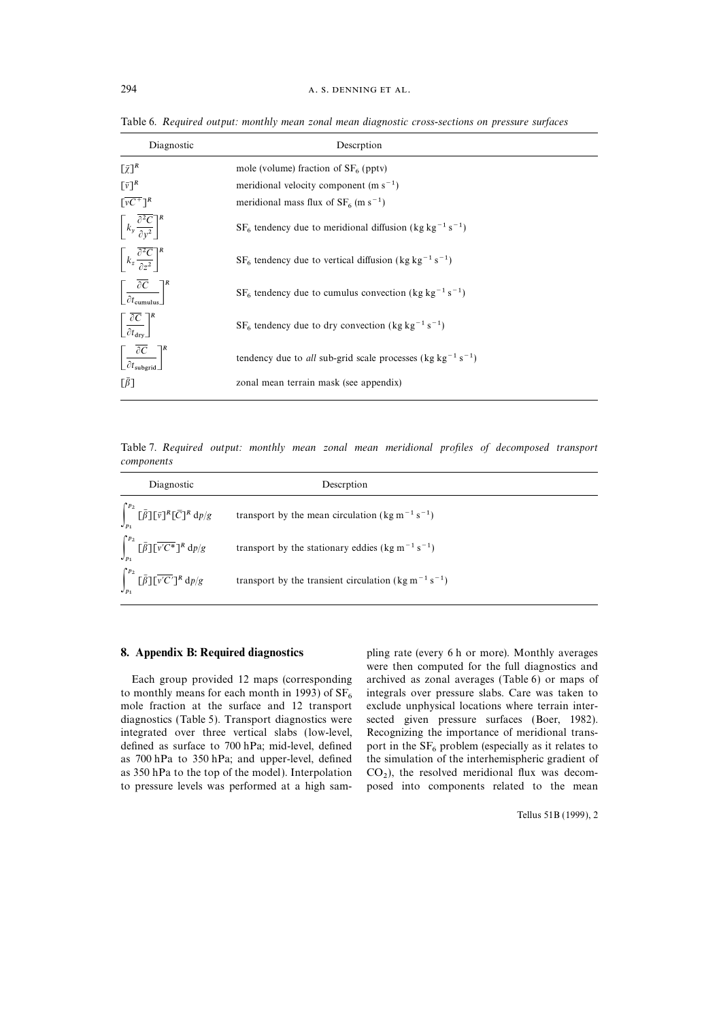| Diagnostic                                                                             | Descrption                                                                                 |
|----------------------------------------------------------------------------------------|--------------------------------------------------------------------------------------------|
| $[\bar{\chi}]^R$                                                                       | mole (volume) fraction of $SF_6$ (pptv)                                                    |
| $\lceil \overline{v} \rceil^R$                                                         | meridional velocity component (m $s^{-1}$ )                                                |
| $\left[\overline{vC^+}\right]^R$                                                       | meridional mass flux of $SF_6$ (m s <sup>-1</sup> )                                        |
| $\left[k_y \frac{\partial^2 C}{\partial y^2}\right]^R$                                 | $SF_6$ tendency due to meridional diffusion (kg kg <sup>-1</sup> s <sup>-1</sup> )         |
| $\left[k_z \frac{\overline{\partial^2 C}}{\partial z^2}\right]^R$                      | $SF_6$ tendency due to vertical diffusion (kg kg <sup>-1</sup> s <sup>-1</sup> )           |
| $\left\lceil \frac{\overline{\partial C}}{\partial t_{\text{cumulus}}} \right\rceil^R$ | $SF_6$ tendency due to cumulus convection (kg kg <sup>-1</sup> s <sup>-1</sup> )           |
| $\left[\frac{\overline{\partial C}}{\partial t_{\rm dry}}\right]^R$                    | $SF_6$ tendency due to dry convection (kg kg <sup>-1</sup> s <sup>-1</sup> )               |
| $\left[\frac{\overline{\partial C}}{\partial t_{\text{subgrid}}}\right]^R$             | tendency due to <i>all</i> sub-grid scale processes (kg kg <sup>-1</sup> s <sup>-1</sup> ) |
| $\bar{[B]}$                                                                            | zonal mean terrain mask (see appendix)                                                     |

Table 6. Required output: monthly mean zonal mean diagnostic cross-sections on pressure surfaces

Table 7. Required output: monthly mean zonal mean meridional profiles of decomposed transport components

| Diagnostic                                                  | Descrption                                                                   |
|-------------------------------------------------------------|------------------------------------------------------------------------------|
| $\int_{a}^{p_2} [\bar{\beta}] [\bar{v}]^R [\bar{C}]^R dp/g$ | transport by the mean circulation (kg m <sup>-1</sup> s <sup>-1</sup> )      |
| $\int^{p_2} [\bar{\beta}] [\bar{v}'\bar{C}^*]^R dp/g$       | transport by the stationary eddies (kg m <sup>-1</sup> s <sup>-1</sup> )     |
| $\int^{p_2} [\bar{\beta}] [\bar{v'C'}]^R dp/g$              | transport by the transient circulation (kg m <sup>-1</sup> s <sup>-1</sup> ) |

to monthly means for each month in 1993) of  $SF<sub>6</sub>$  integrals over pressure slabs. Care was taken to mole fraction at the surface and 12 transport exclude unphysical locations where terrain interdiagnostics (Table 5). Transport diagnostics were sected given pressure surfaces (Boer, 1982). integrated over three vertical slabs (low-level, Recognizing the importance of meridional transdefined as surface to 700 hPa; mid-level, defined port in the  $SF<sub>6</sub>$  problem (especially as it relates to as 700 hPa to 350 hPa; and upper-level, defined the simulation of the interhemispheric gradient of as  $350$  hPa to the top of the model). Interpolation to pressure levels was performed at a high sam-

8. Appendix B: Required diagnostics pling rate (every 6 h or more). Monthly averages were then computed for the full diagnostics and Each group provided 12 maps (corresponding archived as zonal averages (Table 6) or maps of exclude unphysical locations where terrain interthe simulation of the interhemispheric gradient of  $CO<sub>2</sub>$ ), the resolved meridional flux was decomposed into components related to the mean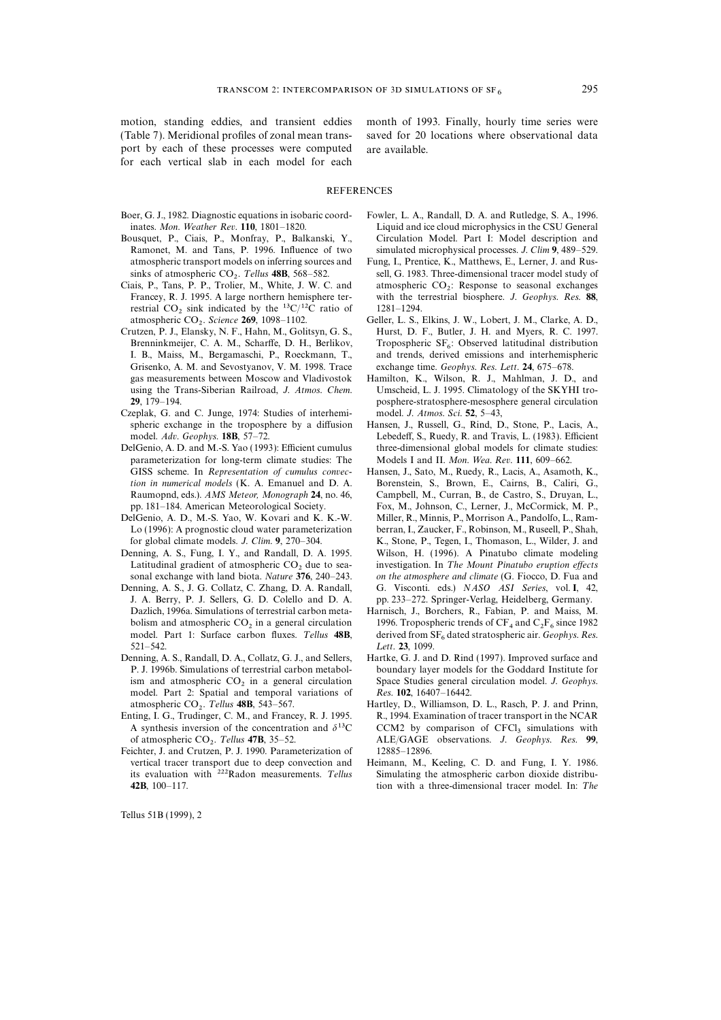motion, standing eddies, and transient eddies month of 1993. Finally, hourly time series were port by each of these processes were computed are available. for each vertical slab in each model for each

(Table 7). Meridional profiles of zonal mean trans- saved for 20 locations where observational data

### **REFERENCES**

- 
- atmospheric transport models on inferring sources and Fung, I., Prentice, K., Matthews, E., Lerner, J. and Russinks of atmospheric  $CO_2$ . Tellus 48B, 568-582.
- Francey, R. J. 1995. A large northern hemisphere terrestrial CO<sub>2</sub> sink indicated by the <sup>13</sup>C/<sup>12</sup>C ratio of 1281–1294. atmospheric CO<sub>2</sub>. Science 269, 1098-1102.
- Crutzen, P. J., Elansky, N. F., Hahn, M., Golitsyn, G. S., I. B., Maiss, M., Bergamaschi, P., Roeckmann, T., Grisenko, A. M. and Sevostyanov, V. M. 1998. Trace exchange time. Geophys. Res. Lett. 24, 675-678. gas measurements between Moscow and Vladivostok Hamilton, K., Wilson, R. J., Mahlman, J. D., and
- Czeplak, G. and C. Junge, 1974: Studies of interhemi- model. J. Atmos. Sci. 52, 5–43, spheric exchange in the troposphere by a diffusion Hansen, J., Russell, G., Rind, D., Stone, P., Lacis, A.,
- parameterization for long-term climate studies: The Models I and II. Mon. Wea. Rev. 111, 609–662. GISS scheme. In Representation of cumulus convec-<br>tion in numerical models (K. A. Emanuel and D. A. Borenstein, S., Brown, E., Cairns, B., Caliri, G.,
- DelGenio, A. D., M.-S. Yao, W. Kovari and K. K.-W.
- 
- J. A. Berry, P. J. Sellers, G. D. Colello and D. A. pp. 233–272. Springer-Verlag, Heidelberg, Germany. bolism and atmospheric  $CO<sub>2</sub>$  in a general circulation<br>model. Part 1: Surface carbon fluxes. Tellus **48B**,
- Denning, A. S., Randall, D. A., Collatz, G. J., and Sellers, Hartke, G. J. and D. Rind (1997). Improved surface and ism and atmospheric  $CO_2$  in a general circulation Space Studies general model. Part 2: Spatial and temporal variations of Res. 102, 16407-16442. model. Part 2: Spatial and temporal variations of atmospheric  $CO<sub>2</sub>$ . Tellus **48B**, 543-567.
- of atmospheric  $CO_2$ . Tellus 47B, 35–52.
- Feichter, J. and Crutzen, P. J. 1990. Parameterization of vertical tracer transport due to deep convection and Heimann, M., Keeling, C. D. and Fung, I. Y. 1986.<br>its evaluation with <sup>222</sup>Radon measurements. Tellus Simulating the atmospheric carbon dioxide distribu-
- Boer, G. J., 1982. Diagnostic equations in isobaric coord- Fowler, L. A., Randall, D. A. and Rutledge, S. A., 1996. inates. Mon. Weather Rev. 110, 1801–1820. Liquid and ice cloud microphysics in the CSU General Bousquet, P., Ciais, P., Monfray, P., Balkanski, Y., Circulation Model. Part I: Model description and Ramonet, M. and Tans, P. 1996. Influence of two simulated microphysical processes. J. Clim 9, 489–529.
- sell, G. 1983. Three-dimensional tracer model study of Ciais, P., Tans, P. P., Trolier, M., White, J. W. C. and atmospheric CO<sub>2</sub>: Response to seasonal exchanges Francey, R. J. 1995. A large northern hemisphere ter-<br>with the terrestrial biosphere. J. Geophys. Res. 88, atmospheric  $CO<sub>2</sub>$ : Response to seasonal exchanges
	- Geller, L. S., Elkins, J. W., Lobert, J. M., Clarke, A. D., Hurst, D. F., Butler, J. H. and Myers, R. C. 1997. Brenninkmeijer, C. A. M., Scharffe, D. H., Berlikov, Tropospheric  $SF<sub>6</sub>$ : Observed latitudinal distribution I. B., Maiss. M., Bergamaschi, P., Roeckmann, T., and trends, derived emissions and interhemispheric
	- using the Trans-Siberian Railroad, J. Atmos. Chem. Umscheid, L. J. 1995. Climatology of the SKYHI tro-29, 179–194. posphere-stratosphere-mesosphere general circulation
- model. Adv. Geophys. 18B, 57-72. Lebedeff, S., Ruedy, R. and Travis, L. (1983). Efficient DelGenio, A. D. and M.-S. Yao (1993): Efficient cumulus three-dimensional global models for climate studies:
- Borenstein, S., Brown, E., Cairns, B., Caliri, G., Raumopnd, eds.). AMS Meteor, Monograph 24, no. 46, Campbell, M., Curran, B., de Castro, S., Druyan, L., pp. 181–184. American Meteorological Society. Fox, M., Johnson, C., Lerner, J., McCormick, M. P., elGenio, A. D., M.-S. Yao, W. Kovari and K. K.-W. Miller, R., Minnis, P., Morrison A., Pandolfo, L., Ram-Lo (1996): A prognostic cloud water parameterization berran, I., Zaucker, F., Robinson, M., Ruseell, P., Shah, for global climate models. J. Clim. 9, 270–304. K., Stone, P., Tegen, I., Thomason, L., Wilder, J. and K., Stone, P., Tegen, I., Thomason, L., Wilder, J. and Denning, A. S., Fung, I. Y., and Randall, D. A. 1995. Wilson, H. (1996). A Pinatubo climate modeling Latitudinal gradient of atmospheric  $CO_2$  due to sea-<br>sonal exchange with land biota. Nature **376**, 240–243. on the atmosphere and climate (G. Fiocco, D. Fua and on the atmosphere and climate (G. Fiocco, D. Fua and Denning, A. S., J. G. Collatz, C. Zhang, D. A. Randall, G. Visconti. eds.) NASO ASI Series, vol. I, 42,
	- Harnisch, J., Borchers, R., Fabian, P. and Maiss, M. 1996. Tropospheric trends of  $CF_4$  and  $C_2F_6$  since 1982 model. Part 1: Surface carbon fluxes. Tellus **48B**, derived from  $SF_6$  dated stratospheric air. Geophys. Res.<br>521–542 Lett. 23, 1099.
	- P. J. 1996b. Simulations of terrestrial carbon metabol-<br>isom and atmospheric CO<sub>2</sub> in a general circulation Space Studies general circulation model. J. Geophys.
- Hartley, D., Williamson, D. L., Rasch, P. J. and Prinn, Enting, I. G., Trudinger, C. M., and Francey, R. J. 1995. R., 1994. Examination of tracer transport in the NCAR A synthesis inversion of the concentration and  $\delta^{13}$ C CCM2 by comparison of CFCl<sub>3</sub> simulations with ALE/GAGE observations. J. Geophys. Res. 99, 12885-12896.
	- Simulating the atmospheric carbon dioxide distribu-42B, 100–117. tion with a three-dimensional tracer model. In: The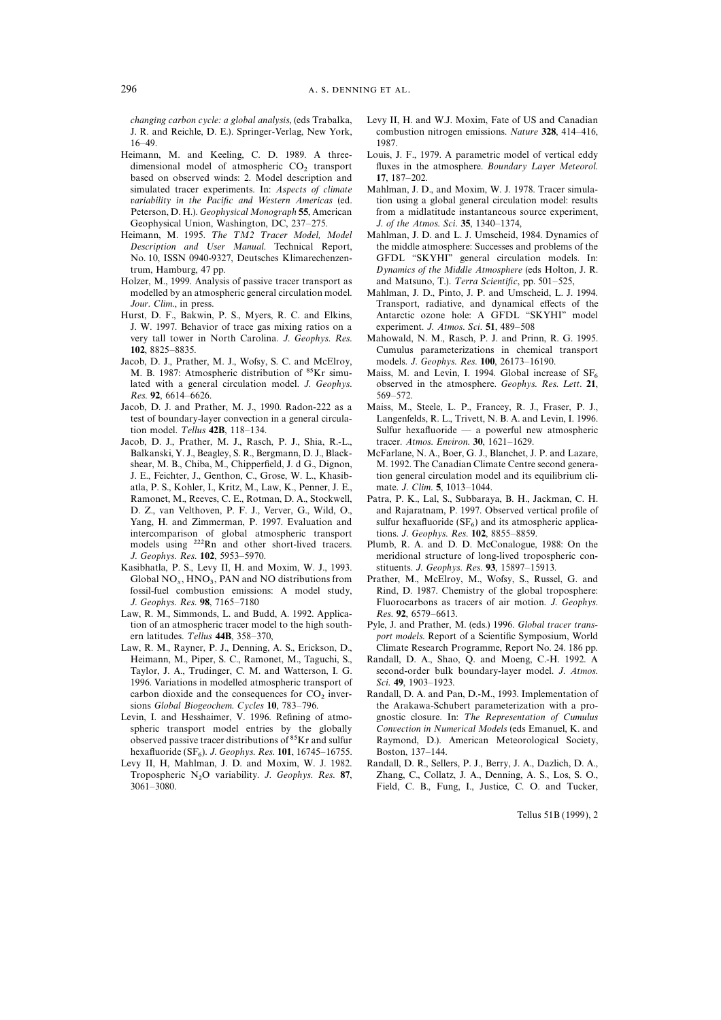16–49. 1987.

- Heimann, M. and Keeling, C. D. 1989. A three- Louis, J. F., 1979. A parametric model of vertical eddy based on observed winds: 2. Model description and simulated tracer experiments. In: Aspects of climate Mahlman, J. D., and Moxim, W. J. 1978. Tracer simula-<br>variability in the Pacific and Western Americas (ed. tion using a global general circulation model: results Geophysical Union, Washington, DC, 237–275. J. of the Atmos. Sci. 35, 1340–1374, Heimann, M. 1995. The TM2 Tracer Model, Model Mahlman, J. D. and L. J. Umscheid,
- 
- Holzer, M., 1999. Analysis of passive tracer transport as and Matsuno, T.). Terra Scientific, pp. 501–525,
- J. W. 1997. Behavior of trace gas mixing ratios on a
- Jacob, D. J., Prather, M. J., Wofsy, S. C. and McElroy. M. B. 1987: Atmospheric distribution of <sup>85</sup>Kr simu-<br>lated with a general circulation model. J. Geophys. observed in the atmosphere. Geophys. Res. Lett. 21,<br> $Res$  **92** 6614–6626 669–572  $R_{ex}$  92, 6614–6626.
- Jacob, D. J. and Prather, M. J., 1990. Radon-222 as a Maiss, M., Steele, L. P., Francey, R. J., Fraser, P. J., test of boundary-layer convection in a general circula-<br>Langenfelds, R. L., Trivett, N. B. A. and Levin, I. 199
- Jacob, D. J., Prather, M. J., Rasch, P. J., Shia, R.-L., tracer. Atmos. Environ. 30, 1621–1629.<br>Balkanski, Y. J., Beagley, S. R., Bergmann, D. J., Black- McFarlane, N. A., Boer, G. J., Blanchet, J. P. and Lazare. Balkanski, Y. J., Beagley, S. R., Bergmann, D. J., Blackatla, P. S., Kohler, I., Kritz, M., Law, K., Penner, J. E., Ramonet, M., Reeves, C. E., Rotman, D. A., Stockwell, Ramonet, M., Reeves, C. E., Rotman, D. A., Stockwell, Patra, P. K., Lal, S., Subbaraya, B. H., Jackman, C. H.<br>D. Z., van Velthoven, P. F. J., Verver, G., Wild, O., and Rajaratnam, P. 1997. Observed vertical profile of Yang, H. and Zimmerman, P. 1997. Evaluation and  $\qquad$  sulfur hexafluoride (SF<sub>6</sub>) and its atmospheric applica-<br>intercomparison of global atmospheric transport ions. J. Geophys. Res. **102**, 8855–8859. intercomparison of global atmospheric transport models using  $^{222}$ Rn and other short-lived tracers.
- Kasibhatla, P. S., Levy II, H. and Moxim, W. J., 1993. stituents. J. Geophys. Res. 93, 15897-15913.  $G$ lobal  $NO_x$ ,  $HNO_3$
- Law, R. M., Simmonds, L. and Budd, A. 1992. Application of an atmospheric tracer model to the high south-<br>
ern latitudes. Tellus 44B, 358–370.<br> *port models.* Report of a Scientific Symposium, World
- Law, R. M., Rayner, P. J., Denning, A. S., Erickson, D., Climate Research Programme, Report No. 24. 186 pp. Heimann, M., Piper, S. C., Ramonet, M., Taguchi, S., Randall, D. A., Shao, Q. and Moeng, C.-H. 1992. A Taylor, J. A., Trudinger, C. M. and Watterson, I. G. second-order bulk boundary-layer model. *J. Atmos.* 1996. Variations in modelled atmospheric transport of Sci. 49, 1903–1923.<br>carbon dioxide and the consequences for CO<sub>2</sub> inver-<br>Randall, D. A. and Pa
- hexafluoride  $(SF_6)$ . J. Geophys. Res. 101, 16745–16755. Boston, 137–144.
- Levy II, H, Mahlman, J. D. and Moxim, W. J. 1982. Randall, D. R., Sellers, P. J., Berry, J. A., Dazlich, D. A., Tropospheric  $N_2O$  variability. J. Geophys. Res. 87,
- changing carbon cycle: a global analysis, (eds Trabalka, Levy II, H. and W.J. Moxim, Fate of US and Canadian J. R. and Reichle, D. E.). Springer-Verlag, New York, combustion nitrogen emissions. Nature 328, 414–416, 16–49
- dimensional model of atmospheric  $CO_2$  transport fluxes in the atmosphere. Boundary Layer Meteorol.<br>based on observed winds: 2. Model description and 17.187–202
- tion using a global general circulation model: results Peterson, D. H.). *Geophysical Monograph* 55, American from a midlatitude instantaneous source experiment.
- Mahlman, J. D. and L. J. Umscheid, 1984. Dynamics of Description and User Manual. Technical Report, the middle atmosphere: Successes and problems of the No. 10, ISSN 0940-9327, Deutsches Klimarechenzen-<br>GFDL "SKYHI" general circulation models. In: No. 10, ISSN 0940-9327, Deutsches Klimarechenzen-<br> *GFDL* "SKYHI" general circulation models. In:<br> *Dynamics of the Middle Atmosphere* (eds Holton, J. R. Dynamics of the Middle Atmosphere (eds Holton, J. R.
- modelled by an atmospheric general circulation model. Mahlman, J. D., Pinto, J. P. and Umscheid, L. J. 1994. Jour. Clim., in press. Transport, radiative, and dynamical effects of the Hurst, D. F., Bakwin, P. S., Myers, R. C. and Elkins, Antarctic ozone hole: A GFDL "SKYHI" model<br>J. W. 1997. Behavior of trace gas mixing ratios on a experiment. J. Atmos. Sci. 51. 489–508
	- very tall tower in North Carolina. J. Geophys. Res. Mahowald, N. M., Rasch, P. J. and Prinn, R. G. 1995. 102, 8825–8835. Cumulus parameterizations in chemical transport cob. D. J., Prather, M. J., Wofsv. S. C. and McElrov. models. J. Geophys. Res. 100, 26173–16190.
		-
	- Langenfelds, R. L., Trivett, N. B. A. and Levin, I. 1996. tion model. Tellus 42B, 118-134. Sulfur hexafluoride — a powerful new atmospheric
	- shear, M. B., Chiba, M., Chipperfield, J. d G., Dignon, M. 1992. The Canadian Climate Centre second genera-J. E., Feichter, J., Genthon, C., Grose, W. L., Khasib-<br>atla P. S. Koblet J. Kritz M. Law K. Penner J. F. mate J. Clim 5, 1013–1044
		- and Rajaratnam, P. 1997. Observed vertical profile of
	- models using <sup>222</sup>Rn and other short-lived tracers. Plumb, R. A. and D. D. McConalogue, 1988: On the *J. Geophys. Res.* **102**, 5953–5970. meridional structure of long-lived tropospheric con-
	- Prather, M., McElroy, M., Wofsy, S., Russel, G. and fossil-fuel combustion emissions: A model study, Rind, D. 1987. Chemistry of the global troposphere:<br> *J. Geophys. Res.* **98**, 7165–7180 Fluorocarbons as tracers of air motion. *J. Geophys.* Fluorocarbons as tracers of air motion. J. Geophys.<br> $Res. 92.6579-6613.$ 
		- port models. Report of a Scientific Symposium, World
		- second-order bulk boundary-layer model. J. Atmos.
- carbon dioxide and the consequences for  $CO_2$  inver-<br>since and Randall, D. A. and Pan, D.-M., 1993. Implementation of<br>the Arakawa-Schubert parameterization with a prothe Arakawa-Schubert parameterization with a pro-Levin, I. and Hesshaimer, V. 1996. Refining of atmo-<br>spheric transport model entries by the globally Convection in Numerical Models (eds Emanuel, K. and spheric transport model entries by the globally Convection in Numerical Models (eds Emanuel, K. and observed passive tracer distributions of <sup>85</sup>Kr and sulfur Raymond, D.). American Meteorological Society,
	- Tropospheric N<sub>2</sub>O variability. *J. Geophys. Res.* **87**, Zhang, C., Collatz, J. A., Denning, A. S., Los, S. O.,  $3061-3080$ . Field. C. B., Fung. L. Justice. C. O. and Tucker. Field, C. B., Fung, I., Justice, C. O. and Tucker,